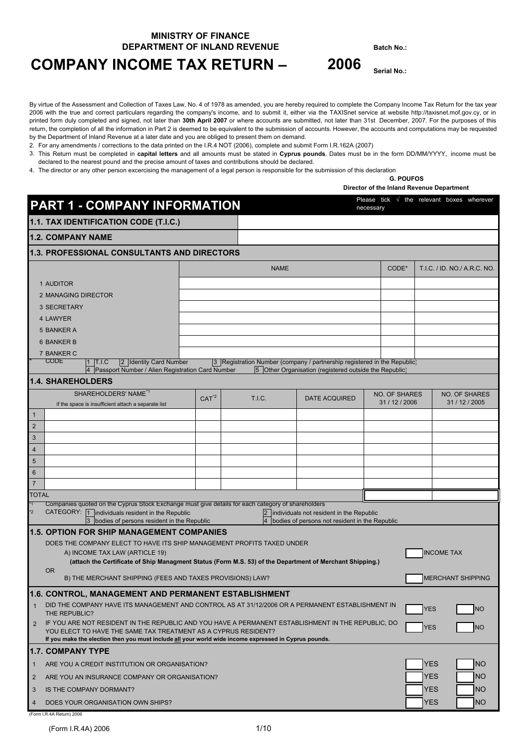### **MINISTRY OF FINANCE DEPARTMENT OF INLAND REVENUE Batch No.:**

# **COMPANY INCOME TAX RETURN – 2006 Serial No.:**

By virtue of the Assessment and Collection of Taxes Law, No. 4 of 1978 as amended, you are hereby required to complete the Company Income Tax Return for the tax year 2006 with the true and correct particulars regarding the company's income, and to submit it, either via the TAXISnet service at website http://taxisnet.mof.gov.cy, or in printed form duly completed and signed, not later than **30th April 2007** or where accounts are submitted, not later than 31st December, 2007. For the purposes of this return, the completion of all the information in Part 2 is deemed to be equivalent to the submission of accounts. However, the accounts and computations may be requested by the Department of Inland Revenue at a later date and you are obliged to present them on demand.

2. For any amendments / corrections to the data printed on the I.R.4 NOT (2006), complete and submit Form I.R.162A (2007)

3. This Return must be completed in **capital letters** and all amounts must be stated in **Cyprus pounds**. Dates must be in the form DD/MM/YYYY, income must be declared to the nearest pound and the precise amount of taxes and contributions should be declared.

4. The director or any other person excercising the management of a legal person is responsible for the submission of this declaration

#### **G. POUFOS**

**Director of the Inland Revenue Department** 

|                                  | <b>PART 1 - COMPANY INFORMATION</b>                                                                                                                                                                                                                                           |         |                      |                                                                                            | necessary            | Please tick $\sqrt{ }$          |            | the relevant boxes wherever  |
|----------------------------------|-------------------------------------------------------------------------------------------------------------------------------------------------------------------------------------------------------------------------------------------------------------------------------|---------|----------------------|--------------------------------------------------------------------------------------------|----------------------|---------------------------------|------------|------------------------------|
|                                  | 1.1. TAX IDENTIFICATION CODE (T.I.C.)                                                                                                                                                                                                                                         |         |                      |                                                                                            |                      |                                 |            |                              |
|                                  | <b>1.2. COMPANY NAME</b>                                                                                                                                                                                                                                                      |         |                      |                                                                                            |                      |                                 |            |                              |
|                                  | <b>1.3. PROFESSIONAL CONSULTANTS AND DIRECTORS</b>                                                                                                                                                                                                                            |         |                      |                                                                                            |                      |                                 |            |                              |
|                                  |                                                                                                                                                                                                                                                                               |         |                      | <b>NAME</b>                                                                                |                      | CODE*                           |            | T.I.C. / ID. NO./ A.R.C. NO. |
|                                  | 1 AUDITOR                                                                                                                                                                                                                                                                     |         |                      |                                                                                            |                      |                                 |            |                              |
|                                  | 2 MANAGING DIRECTOR                                                                                                                                                                                                                                                           |         |                      |                                                                                            |                      |                                 |            |                              |
|                                  | 3 SECRETARY                                                                                                                                                                                                                                                                   |         |                      |                                                                                            |                      |                                 |            |                              |
|                                  | 4 LAWYER                                                                                                                                                                                                                                                                      |         |                      |                                                                                            |                      |                                 |            |                              |
|                                  | 5 BANKER A                                                                                                                                                                                                                                                                    |         |                      |                                                                                            |                      |                                 |            |                              |
|                                  | 6 BANKER B                                                                                                                                                                                                                                                                    |         |                      |                                                                                            |                      |                                 |            |                              |
|                                  | 7 BANKER C                                                                                                                                                                                                                                                                    |         |                      |                                                                                            |                      |                                 |            |                              |
|                                  | <b>CODE</b><br>2 Identity Card Number<br> T.I.C                                                                                                                                                                                                                               |         |                      | 3 Registration Number (company / partnership registered in the Republic)                   |                      |                                 |            |                              |
|                                  | 4 Passport Number / Alien Registration Card Number<br><b>1.4. SHAREHOLDERS</b>                                                                                                                                                                                                |         |                      | 5 Other Organisation (registered outside the Republic)                                     |                      |                                 |            |                              |
|                                  | SHAREHOLDERS' NAME <sup>*1</sup>                                                                                                                                                                                                                                              |         |                      |                                                                                            |                      |                                 |            | <b>NO. OF SHARES</b>         |
|                                  | if the space is insufficient attach a separate list                                                                                                                                                                                                                           | $CAT^2$ | <b>T.I.C.</b>        |                                                                                            | <b>DATE ACQUIRED</b> | NO. OF SHARES<br>31 / 12 / 2006 |            | 31 / 12 / 2005               |
| $\mathbf{1}$                     |                                                                                                                                                                                                                                                                               |         |                      |                                                                                            |                      |                                 |            |                              |
| $\overline{2}$                   |                                                                                                                                                                                                                                                                               |         |                      |                                                                                            |                      |                                 |            |                              |
| $\sqrt{3}$                       |                                                                                                                                                                                                                                                                               |         |                      |                                                                                            |                      |                                 |            |                              |
| $\overline{4}$                   |                                                                                                                                                                                                                                                                               |         |                      |                                                                                            |                      |                                 |            |                              |
| 5                                |                                                                                                                                                                                                                                                                               |         |                      |                                                                                            |                      |                                 |            |                              |
| 6                                |                                                                                                                                                                                                                                                                               |         |                      |                                                                                            |                      |                                 |            |                              |
| $\overline{7}$                   |                                                                                                                                                                                                                                                                               |         |                      |                                                                                            |                      |                                 |            |                              |
| <b>TOTAL</b>                     |                                                                                                                                                                                                                                                                               |         |                      |                                                                                            |                      |                                 |            |                              |
| $\overline{1}$<br>$\overline{2}$ | Companies quoted on the Cyprus Stock Exchange must give details for each category of shareholders<br>CATEGORY: 1 individuals resident in the Republic<br>3 bodies of persons resident in the Republic                                                                         |         | 2 <br>$\overline{4}$ | individuals not resident in the Republic<br>bodies of persons not resident in the Republic |                      |                                 |            |                              |
|                                  | <b>1.5. OPTION FOR SHIP MANAGEMENT COMPANIES</b>                                                                                                                                                                                                                              |         |                      |                                                                                            |                      |                                 |            |                              |
|                                  | DOES THE COMPANY ELECT TO HAVE ITS SHIP MANAGEMENT PROFITS TAXED UNDER                                                                                                                                                                                                        |         |                      |                                                                                            |                      |                                 |            |                              |
|                                  | A) INCOME TAX LAW (ARTICLE 19)                                                                                                                                                                                                                                                |         |                      |                                                                                            |                      |                                 |            | <b>INCOME TAX</b>            |
|                                  | (attach the Certificate of Ship Managment Status (Form M.S. 53) of the Department of Merchant Shipping.)<br>OR.                                                                                                                                                               |         |                      |                                                                                            |                      |                                 |            |                              |
|                                  | B) THE MERCHANT SHIPPING (FEES AND TAXES PROVISIONS) LAW?                                                                                                                                                                                                                     |         |                      |                                                                                            |                      |                                 |            | <b>MERCHANT SHIPPING</b>     |
|                                  | 1.6. CONTROL, MANAGEMENT AND PERMANENT ESTABLISHMENT                                                                                                                                                                                                                          |         |                      |                                                                                            |                      |                                 |            |                              |
| $\mathbf{1}$                     | DID THE COMPANY HAVE ITS MANAGEMENT AND CONTROL AS AT 31/12/2006 OR A PERMANENT ESTABLISHMENT IN                                                                                                                                                                              |         |                      |                                                                                            |                      |                                 | <b>YES</b> | <b>NO</b>                    |
|                                  | THE REPUBLIC?                                                                                                                                                                                                                                                                 |         |                      |                                                                                            |                      |                                 |            |                              |
| $\overline{2}$                   | IF YOU ARE NOT RESIDENT IN THE REPUBLIC AND YOU HAVE A PERMANENT ESTABLISHMENT IN THE REPUBLIC, DO<br>YOU ELECT TO HAVE THE SAME TAX TREATMENT AS A CYPRUS RESIDENT?<br>If you make the election then you must include all your world wide income expressed in Cyprus pounds. |         |                      |                                                                                            |                      |                                 | <b>YES</b> | <b>NO</b>                    |
|                                  | <b>1.7. COMPANY TYPE</b>                                                                                                                                                                                                                                                      |         |                      |                                                                                            |                      |                                 |            |                              |
| $\mathbf{1}$                     | ARE YOU A CREDIT INSTITUTION OR ORGANISATION?                                                                                                                                                                                                                                 |         |                      |                                                                                            |                      |                                 | <b>YES</b> | <b>NO</b>                    |
| $\overline{2}$                   | ARE YOU AN INSURANCE COMPANY OR ORGANISATION?                                                                                                                                                                                                                                 |         |                      |                                                                                            |                      |                                 | <b>YES</b> | <b>NO</b>                    |
| 3                                | IS THE COMPANY DORMANT?                                                                                                                                                                                                                                                       |         |                      |                                                                                            |                      |                                 | <b>YES</b> | <b>NO</b>                    |
| 4                                | DOES YOUR ORGANISATION OWN SHIPS?                                                                                                                                                                                                                                             |         |                      |                                                                                            |                      |                                 | <b>YES</b> | <b>NO</b>                    |

(Form I.R.4A Return) 2006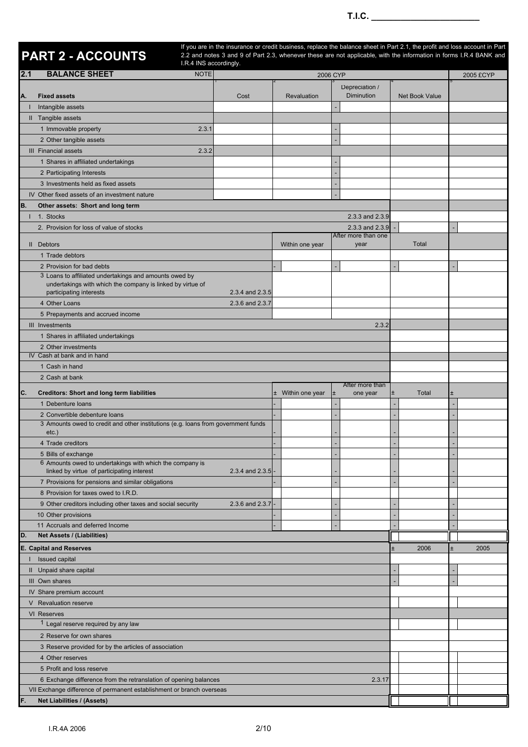|     | PART 2 - ACCOUNTS                                                                             | I.R.4 INS accordingly. |                 |                   | If you are in the insurance or credit business, replace the balance sheet in Part 2.1, the profit and loss account in Part<br>2.2 and notes 3 and 9 of Part 2.3, whenever these are not applicable, with the information in forms I.R.4 BANK and |                |               |
|-----|-----------------------------------------------------------------------------------------------|------------------------|-----------------|-------------------|--------------------------------------------------------------------------------------------------------------------------------------------------------------------------------------------------------------------------------------------------|----------------|---------------|
| 2.1 | <b>BALANCE SHEET</b>                                                                          | <b>NOTE</b>            |                 |                   | 2006 CYP                                                                                                                                                                                                                                         |                | 2005 £CYP     |
| Α.  | <b>Fixed assets</b>                                                                           |                        | Cost            | Revaluation       | Depreciation /<br>Diminution                                                                                                                                                                                                                     | Net Book Value |               |
|     | Intangible assets<br>Il Tangible assets                                                       |                        |                 |                   |                                                                                                                                                                                                                                                  |                |               |
|     | 1 Immovable property                                                                          | 2.3.1                  |                 |                   |                                                                                                                                                                                                                                                  |                |               |
|     | 2 Other tangible assets                                                                       |                        |                 |                   |                                                                                                                                                                                                                                                  |                |               |
|     | III Financial assets                                                                          | 2.3.2                  |                 |                   |                                                                                                                                                                                                                                                  |                |               |
|     | 1 Shares in affiliated undertakings                                                           |                        |                 |                   |                                                                                                                                                                                                                                                  |                |               |
|     | 2 Participating Interests                                                                     |                        |                 |                   |                                                                                                                                                                                                                                                  |                |               |
|     | 3 Investments held as fixed assets                                                            |                        |                 |                   |                                                                                                                                                                                                                                                  |                |               |
|     | IV Other fixed assets of an investment nature                                                 |                        |                 |                   |                                                                                                                                                                                                                                                  |                |               |
| В.  | Other assets: Short and long term                                                             |                        |                 |                   |                                                                                                                                                                                                                                                  |                |               |
| н   | 1. Stocks                                                                                     |                        |                 |                   | 2.3.3 and 2.3.9                                                                                                                                                                                                                                  |                |               |
|     | 2. Provision for loss of value of stocks                                                      |                        |                 |                   | 2.3.3 and 2.3.9<br>After more than one                                                                                                                                                                                                           |                |               |
|     | II Debtors                                                                                    |                        |                 | Within one year   | year                                                                                                                                                                                                                                             | Total          |               |
|     | 1 Trade debtors                                                                               |                        |                 |                   |                                                                                                                                                                                                                                                  |                |               |
|     | 2 Provision for bad debts                                                                     |                        |                 |                   |                                                                                                                                                                                                                                                  |                |               |
|     | 3 Loans to affiliated undertakings and amounts owed by                                        |                        |                 |                   |                                                                                                                                                                                                                                                  |                |               |
|     | undertakings with which the company is linked by virtue of<br>participating interests         |                        | 2.3.4 and 2.3.5 |                   |                                                                                                                                                                                                                                                  |                |               |
|     | 4 Other Loans                                                                                 |                        | 2.3.6 and 2.3.7 |                   |                                                                                                                                                                                                                                                  |                |               |
|     | 5 Prepayments and accrued income                                                              |                        |                 |                   |                                                                                                                                                                                                                                                  |                |               |
|     | III Investments                                                                               |                        |                 |                   | 2.3.2                                                                                                                                                                                                                                            |                |               |
|     | 1 Shares in affiliated undertakings                                                           |                        |                 |                   |                                                                                                                                                                                                                                                  |                |               |
|     | 2 Other investments                                                                           |                        |                 |                   |                                                                                                                                                                                                                                                  |                |               |
|     | IV Cash at bank and in hand                                                                   |                        |                 |                   |                                                                                                                                                                                                                                                  |                |               |
|     | 1 Cash in hand                                                                                |                        |                 |                   |                                                                                                                                                                                                                                                  |                |               |
|     | 2 Cash at bank                                                                                |                        |                 |                   | After more than                                                                                                                                                                                                                                  |                |               |
| С.  | <b>Creditors: Short and long term liabilities</b>                                             |                        |                 | ± Within one year | <b>I</b><br>one year                                                                                                                                                                                                                             | Total<br>$\pm$ | Ŧ             |
|     | 1 Debenture loans                                                                             |                        |                 |                   |                                                                                                                                                                                                                                                  |                |               |
|     | 2 Convertible debenture loans                                                                 |                        |                 |                   |                                                                                                                                                                                                                                                  |                |               |
|     | 3 Amounts owed to credit and other institutions (e.g. loans from government funds<br>$etc.$ ) |                        |                 |                   |                                                                                                                                                                                                                                                  |                |               |
|     | 4 Trade creditors                                                                             |                        |                 |                   |                                                                                                                                                                                                                                                  |                |               |
|     | 5 Bills of exchange                                                                           |                        |                 |                   |                                                                                                                                                                                                                                                  |                |               |
|     | 6 Amounts owed to undertakings with which the company is                                      |                        |                 |                   |                                                                                                                                                                                                                                                  |                |               |
|     | linked by virtue of participating interest                                                    |                        | 2.3.4 and 2.3.5 |                   |                                                                                                                                                                                                                                                  |                |               |
|     | 7 Provisions for pensions and similar obligations                                             |                        |                 |                   |                                                                                                                                                                                                                                                  |                |               |
|     | 8 Provision for taxes owed to I.R.D.                                                          |                        |                 |                   |                                                                                                                                                                                                                                                  |                |               |
|     | 9 Other creditors including other taxes and social security                                   |                        | 2.3.6 and 2.3.7 |                   |                                                                                                                                                                                                                                                  |                |               |
|     | 10 Other provisions<br>11 Accruals and deferred Income                                        |                        |                 |                   |                                                                                                                                                                                                                                                  |                |               |
| D.  | Net Assets / (Liabilities)                                                                    |                        |                 |                   |                                                                                                                                                                                                                                                  |                |               |
|     | <b>E. Capital and Reserves</b>                                                                |                        |                 |                   |                                                                                                                                                                                                                                                  | 2006           | $\pm$<br>2005 |
|     | Issued capital                                                                                |                        |                 |                   |                                                                                                                                                                                                                                                  |                |               |
|     | II Unpaid share capital                                                                       |                        |                 |                   |                                                                                                                                                                                                                                                  |                |               |
|     | III Own shares                                                                                |                        |                 |                   |                                                                                                                                                                                                                                                  |                |               |
|     | IV Share premium account                                                                      |                        |                 |                   |                                                                                                                                                                                                                                                  |                |               |
|     | V Revaluation reserve                                                                         |                        |                 |                   |                                                                                                                                                                                                                                                  |                |               |
|     | VI Reserves                                                                                   |                        |                 |                   |                                                                                                                                                                                                                                                  |                |               |
|     | <sup>1</sup> Legal reserve required by any law                                                |                        |                 |                   |                                                                                                                                                                                                                                                  |                |               |
|     | 2 Reserve for own shares                                                                      |                        |                 |                   |                                                                                                                                                                                                                                                  |                |               |
|     | 3 Reserve provided for by the articles of association                                         |                        |                 |                   |                                                                                                                                                                                                                                                  |                |               |
|     | 4 Other reserves                                                                              |                        |                 |                   |                                                                                                                                                                                                                                                  |                |               |
|     | 5 Profit and loss reserve                                                                     |                        |                 |                   |                                                                                                                                                                                                                                                  |                |               |
|     | 6 Exchange difference from the retranslation of opening balances                              |                        |                 |                   | 2.3.17                                                                                                                                                                                                                                           |                |               |
|     | VII Exchange difference of permanent establishment or branch overseas                         |                        |                 |                   |                                                                                                                                                                                                                                                  |                |               |
|     | <b>Net Liabilities / (Assets)</b>                                                             |                        |                 |                   |                                                                                                                                                                                                                                                  |                |               |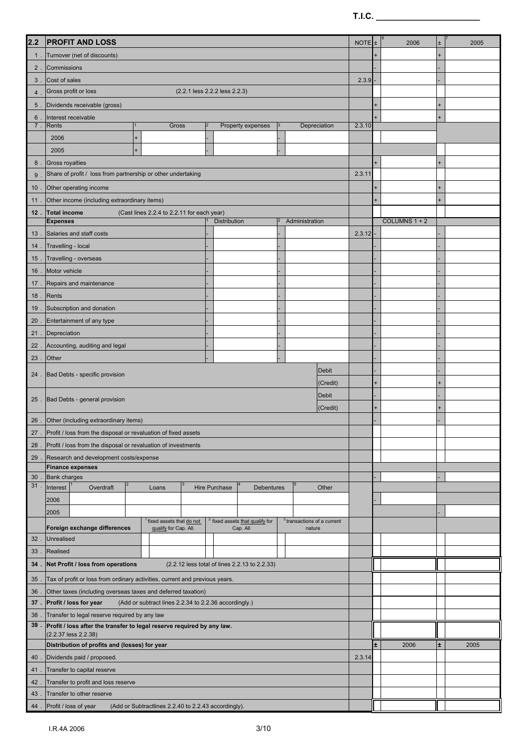| 2.2            | <b>PROFIT AND LOSS</b>                                                                                                                                                                          | NOTE  <sub>±</sub> | 2006          | Ŧ. | 2005 |
|----------------|-------------------------------------------------------------------------------------------------------------------------------------------------------------------------------------------------|--------------------|---------------|----|------|
| $1$ .          | Turnover (net of discounts)                                                                                                                                                                     |                    |               |    |      |
| $2$ .          | Commissions                                                                                                                                                                                     |                    |               |    |      |
| $3$ .          | Cost of sales                                                                                                                                                                                   | 2.3.9              |               |    |      |
| 4              | Gross profit or loss<br>(2.2.1 less 2.2.2 less 2.2.3)                                                                                                                                           |                    |               |    |      |
| 5 <sub>1</sub> | Dividends receivable (gross)                                                                                                                                                                    |                    |               |    |      |
| 6              | Interest receivable                                                                                                                                                                             |                    |               |    |      |
| 7.             | Rents<br>Gross<br>$\overline{2}$<br>Property expenses<br>Depreciation                                                                                                                           | 2.3.10             |               |    |      |
|                | 2006<br>$\ddot{}$                                                                                                                                                                               |                    |               |    |      |
|                | 2005<br>$\ddot{}$                                                                                                                                                                               |                    |               |    |      |
| 8 <sub>1</sub> | Gross royalties                                                                                                                                                                                 |                    |               |    |      |
| 9              | Share of profit / loss from partnership or other undertaking                                                                                                                                    | 2.3.11             |               |    |      |
| 10             | Other operating income                                                                                                                                                                          |                    |               |    |      |
| 11.            | Other income (including extraordinary items)                                                                                                                                                    |                    |               |    |      |
|                | 12. Total income<br>(Cast lines 2.2.4 to 2.2.11 for each year)                                                                                                                                  |                    |               |    |      |
|                | <b>Expenses</b><br>Distribution<br>Administration                                                                                                                                               |                    | COLUMNS 1 + 2 |    |      |
| 13             | Salaries and staff costs                                                                                                                                                                        | 2.3.12             |               |    |      |
| 14.            | Travelling - local                                                                                                                                                                              |                    |               |    |      |
| 15             | Travelling - overseas                                                                                                                                                                           |                    |               |    |      |
| 16             | Motor vehicle                                                                                                                                                                                   |                    |               |    |      |
| 17.            | Repairs and maintenance                                                                                                                                                                         |                    |               |    |      |
|                | 18 . Rents                                                                                                                                                                                      |                    |               |    |      |
|                | 19. Subscription and donation                                                                                                                                                                   |                    |               |    |      |
| 20             | Entertainment of any type                                                                                                                                                                       |                    |               |    |      |
|                | 21 . Depreciation                                                                                                                                                                               |                    |               |    |      |
|                | 22. Accounting, auditing and legal                                                                                                                                                              |                    |               |    |      |
| 23.            | Other                                                                                                                                                                                           |                    |               |    |      |
| $24$ .         | <b>Debit</b><br>Bad Debts - specific provision                                                                                                                                                  |                    |               |    |      |
|                | (Credit)                                                                                                                                                                                        |                    |               |    |      |
|                | Debit<br>25 . Bad Debts - general provision                                                                                                                                                     |                    |               |    |      |
|                | (Credit)                                                                                                                                                                                        |                    |               |    |      |
|                | 26. Other (including extraordinary items)                                                                                                                                                       |                    |               |    |      |
|                | 27 . Profit / loss from the disposal or revaluation of fixed assets                                                                                                                             |                    |               |    |      |
|                | 28 . Profit / loss from the disposal or revaluation of investments                                                                                                                              |                    |               |    |      |
|                | 29 . Research and development costs/expense<br><b>Finance expenses</b>                                                                                                                          |                    |               |    |      |
| $30$ .         | <b>Bank charges</b>                                                                                                                                                                             |                    |               |    |      |
| 31.            | Interest<br>Overdraft<br>Hire Purchase<br>Loans<br><b>Debentures</b><br>Other                                                                                                                   |                    |               |    |      |
|                | 2006                                                                                                                                                                                            |                    |               |    |      |
|                | 2005                                                                                                                                                                                            |                    |               |    |      |
|                | <sup>2</sup> fixed assets that qualify for<br>fixed assets that do not<br><sup>3</sup> transactions of a current<br>Foreign exchange differences<br>qualify for Cap. All.<br>Cap. All<br>nature |                    |               |    |      |
| $32$ .         | <b>Unrealised</b>                                                                                                                                                                               |                    |               |    |      |
| 33.            | Realised                                                                                                                                                                                        |                    |               |    |      |
| 34.            | Net Profit / loss from operations<br>(2.2.12 less total of lines 2.2.13 to 2.2.33)                                                                                                              |                    |               |    |      |
| 35             | Tax of profit or loss from ordinary activities, current and previous years.                                                                                                                     |                    |               |    |      |
| 36             | Other taxes (including overseas taxes and deferred taxation)                                                                                                                                    |                    |               |    |      |
| 37.            | Profit / loss for year<br>(Add or subtract lines 2.2.34 to 2.2.36 accordingly.)                                                                                                                 |                    |               |    |      |
| 38             | Transfer to legal reserve required by any law                                                                                                                                                   |                    |               |    |      |
|                | 39 . Profit / loss after the transfer to legal reserve required by any law.                                                                                                                     |                    |               |    |      |
|                | (2.2.37 less 2.2.38)                                                                                                                                                                            |                    |               |    |      |
|                | Distribution of profits and (losses) for year                                                                                                                                                   |                    | 2006          | ±. | 2005 |
|                | 40 . Dividends paid / proposed.                                                                                                                                                                 | 2.3.14             |               |    |      |
| 41.            | Transfer to capital reserve                                                                                                                                                                     |                    |               |    |      |
| 42<br>43       | Transfer to profit and loss reserve<br>Transfer to other reserve                                                                                                                                |                    |               |    |      |
| 44.            | Profit / loss of year<br>(Add or Subtractlines 2.2.40 to 2.2.43 accordingly).                                                                                                                   |                    |               |    |      |
|                |                                                                                                                                                                                                 |                    |               |    |      |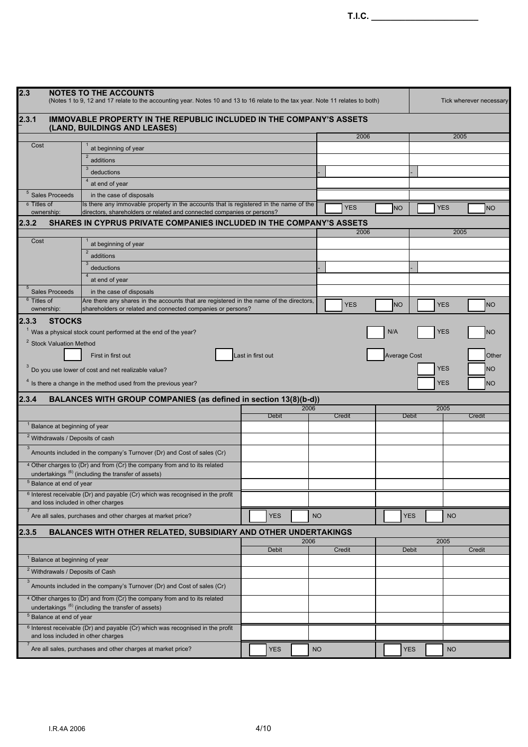| T.I.C. $\_\_$          |                                           |                                                                                                                                                                |                      |           |            |           |                     |            |                         |           |
|------------------------|-------------------------------------------|----------------------------------------------------------------------------------------------------------------------------------------------------------------|----------------------|-----------|------------|-----------|---------------------|------------|-------------------------|-----------|
|                        |                                           |                                                                                                                                                                |                      |           |            |           |                     |            |                         |           |
|                        |                                           |                                                                                                                                                                |                      |           |            |           |                     |            |                         |           |
|                        |                                           |                                                                                                                                                                |                      |           |            |           |                     |            |                         |           |
| 2.3                    |                                           | <b>NOTES TO THE ACCOUNTS</b><br>(Notes 1 to 9, 12 and 17 relate to the accounting year. Notes 10 and 13 to 16 relate to the tax year. Note 11 relates to both) |                      |           |            |           |                     |            | Tick wherever necessary |           |
| 2.3.1                  |                                           | IMMOVABLE PROPERTY IN THE REPUBLIC INCLUDED IN THE COMPANY'S ASSETS                                                                                            |                      |           |            |           |                     |            |                         |           |
|                        |                                           | (LAND, BUILDINGS AND LEASES)                                                                                                                                   |                      |           | 2006       |           |                     |            | 2005                    |           |
| Cost                   |                                           | at beginning of year                                                                                                                                           |                      |           |            |           |                     |            |                         |           |
|                        |                                           | $\overline{2}$<br>additions                                                                                                                                    |                      |           |            |           |                     |            |                         |           |
|                        |                                           | 3<br>deductions                                                                                                                                                |                      |           |            |           |                     |            |                         |           |
|                        |                                           | at end of year                                                                                                                                                 |                      |           |            |           |                     |            |                         |           |
| 6 Titles of            | $5$ Sales Proceeds                        | in the case of disposals<br>Its there any immovable property in the accounts that is registered in the name of the                                             |                      |           |            |           |                     |            |                         |           |
| ownership:             |                                           | directors, shareholders or related and connected companies or persons?                                                                                         |                      |           | <b>YES</b> | <b>NO</b> |                     | <b>YES</b> |                         | <b>NO</b> |
| 2.3.2                  |                                           | SHARES IN CYPRUS PRIVATE COMPANIES INCLUDED IN THE COMPANY'S ASSETS                                                                                            |                      |           |            |           |                     |            |                         |           |
| Cost                   |                                           | at beginning of year                                                                                                                                           |                      |           | 2006       |           |                     |            | 2005                    |           |
|                        |                                           | $\overline{2}$<br>additions                                                                                                                                    |                      |           |            |           |                     |            |                         |           |
|                        |                                           | deductions                                                                                                                                                     |                      |           |            |           |                     |            |                         |           |
|                        |                                           | at end of year                                                                                                                                                 |                      |           |            |           |                     |            |                         |           |
| $\sqrt{5}$             | <b>Sales Proceeds</b>                     | in the case of disposals                                                                                                                                       |                      |           |            |           |                     |            |                         |           |
| <sup>6</sup> Titles of |                                           | Are there any shares in the accounts that are registered in the name of the directors,                                                                         |                      |           | <b>YES</b> |           |                     | <b>YES</b> |                         |           |
| ownership:             |                                           | shareholders or related and connected companies or persons?                                                                                                    |                      |           |            | <b>NO</b> |                     |            |                         | <b>NO</b> |
| 2.3.3                  | <b>STOCKS</b>                             |                                                                                                                                                                |                      |           |            |           |                     |            |                         |           |
|                        |                                           | $1$ Was a physical stock count performed at the end of the year?                                                                                               |                      |           |            | N/A       |                     | <b>YES</b> |                         | <b>NO</b> |
|                        | <sup>2</sup> Stock Valuation Method       |                                                                                                                                                                |                      |           |            |           |                     |            |                         |           |
|                        |                                           | First in first out                                                                                                                                             | Last in first out    |           |            |           | <b>Average Cost</b> |            |                         | Other     |
|                        |                                           | Do you use lower of cost and net realizable value?                                                                                                             |                      |           |            |           |                     | <b>YES</b> |                         | <b>NO</b> |
|                        |                                           | <sup>4</sup> Is there a change in the method used from the previous year?                                                                                      |                      |           |            |           |                     | <b>YES</b> |                         | <b>NO</b> |
| 2.3.4                  |                                           | BALANCES WITH GROUP COMPANIES (as defined in section 13(8)(b-d))                                                                                               |                      |           |            |           |                     |            |                         |           |
|                        |                                           |                                                                                                                                                                | 2006                 |           |            |           |                     | 2005       |                         |           |
|                        | <sup>1</sup> Balance at beginning of year |                                                                                                                                                                | <b>Debit</b>         |           | Credit     |           | <b>Debit</b>        |            | Credit                  |           |
|                        |                                           | <sup>2</sup> Withdrawals / Deposits of cash                                                                                                                    |                      |           |            |           |                     |            |                         |           |
| $\mathbf{3}$           |                                           | Amounts included in the company's Turnover (Dr) and Cost of sales (Cr)                                                                                         |                      |           |            |           |                     |            |                         |           |
|                        |                                           | <sup>4</sup> Other charges to (Dr) and from (Cr) the company from and to its related                                                                           |                      |           |            |           |                     |            |                         |           |
|                        |                                           | undertakings (6) (including the transfer of assets)                                                                                                            |                      |           |            |           |                     |            |                         |           |
|                        | $5$ Balance at end of year                |                                                                                                                                                                |                      |           |            |           |                     |            |                         |           |
|                        |                                           | <sup>6</sup> Interest receivable (Dr) and payable (Cr) which was recognised in the profit<br>and loss included in other charges                                |                      |           |            |           |                     |            |                         |           |
| $\overline{7}$         |                                           | Are all sales, purchases and other charges at market price?                                                                                                    | <b>YES</b>           | <b>NO</b> |            |           | <b>YES</b>          | <b>NO</b>  |                         |           |
| 2.3.5                  |                                           | BALANCES WITH OTHER RELATED, SUBSIDIARY AND OTHER UNDERTAKINGS                                                                                                 |                      |           |            |           |                     |            |                         |           |
|                        |                                           |                                                                                                                                                                | 2006<br><b>Debit</b> |           | Credit     |           | <b>Debit</b>        | 2005       | Credit                  |           |
|                        | <sup>1</sup> Balance at beginning of year |                                                                                                                                                                |                      |           |            |           |                     |            |                         |           |
|                        |                                           | <sup>2</sup> Withdrawals / Deposits of Cash                                                                                                                    |                      |           |            |           |                     |            |                         |           |
| $\mathbf{3}$           |                                           | Amounts included in the company's Turnover (Dr) and Cost of sales (Cr)                                                                                         |                      |           |            |           |                     |            |                         |           |
|                        |                                           | <sup>4</sup> Other charges to (Dr) and from (Cr) the company from and to its related<br>undertakings <sup>(6)</sup> (including the transfer of assets)         |                      |           |            |           |                     |            |                         |           |
|                        | <sup>5</sup> Balance at end of year       |                                                                                                                                                                |                      |           |            |           |                     |            |                         |           |
|                        |                                           | <sup>6</sup> Interest receivable (Dr) and payable (Cr) which was recognised in the profit<br>and loss included in other charges                                |                      |           |            |           |                     |            |                         |           |

 $^7$  Are all sales, purchases and other charges at market price?  $\sqrt{1 + 2}$  YES NO YES NO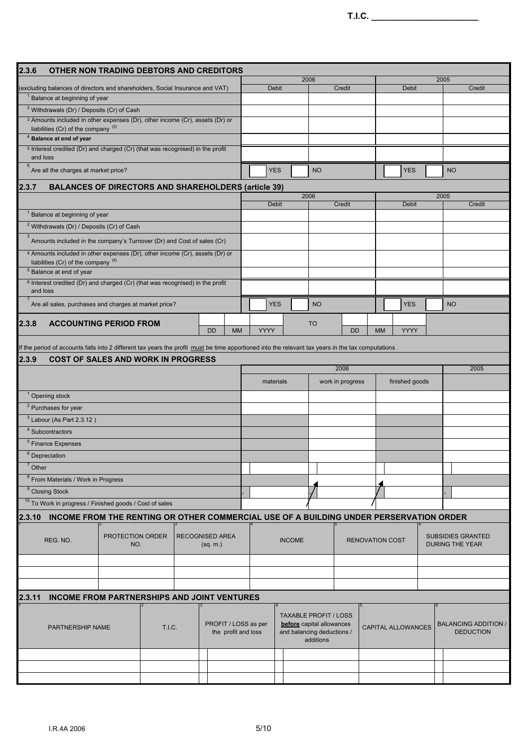| 2.3.6                                                                                                                                               | OTHER NON TRADING DEBTORS AND CREDITORS                                                |     |                  |           |                        |              |               |                                         |                  |                           |      |                                                    |
|-----------------------------------------------------------------------------------------------------------------------------------------------------|----------------------------------------------------------------------------------------|-----|------------------|-----------|------------------------|--------------|---------------|-----------------------------------------|------------------|---------------------------|------|----------------------------------------------------|
|                                                                                                                                                     |                                                                                        |     |                  |           |                        |              |               | 2006                                    |                  |                           | 2005 |                                                    |
| (excluding balances of directors and shareholders, Social Insurance and VAT)                                                                        |                                                                                        |     |                  |           |                        | <b>Debit</b> |               |                                         | Credit           | <b>Debit</b>              |      | Credit                                             |
| <sup>1</sup> Balance at beginning of year                                                                                                           |                                                                                        |     |                  |           |                        |              |               |                                         |                  |                           |      |                                                    |
| <sup>2</sup> Withdrawals (Dr) / Deposits (Cr) of Cash                                                                                               |                                                                                        |     |                  |           |                        |              |               |                                         |                  |                           |      |                                                    |
| <sup>3</sup> Amounts included in other expenses (Dr), other income (Cr), assets (Dr) or                                                             |                                                                                        |     |                  |           |                        |              |               |                                         |                  |                           |      |                                                    |
| liabilities (Cr) of the company (5)                                                                                                                 |                                                                                        |     |                  |           |                        |              |               |                                         |                  |                           |      |                                                    |
| <sup>4</sup> Balance at end of year                                                                                                                 |                                                                                        |     |                  |           |                        |              |               |                                         |                  |                           |      |                                                    |
| <sup>5</sup> Interest credited (Dr) and charged (Cr) (that was recognised) in the profit<br>and loss                                                |                                                                                        |     |                  |           |                        |              |               |                                         |                  |                           |      |                                                    |
| 6<br>Are all the charges at market price?                                                                                                           |                                                                                        |     |                  |           |                        | <b>YES</b>   |               | <b>NO</b>                               |                  | <b>YES</b>                |      | <b>NO</b>                                          |
| 2.3.7                                                                                                                                               | <b>BALANCES OF DIRECTORS AND SHAREHOLDERS (article 39)</b>                             |     |                  |           |                        |              |               |                                         |                  |                           |      |                                                    |
|                                                                                                                                                     |                                                                                        |     |                  |           |                        |              |               | 2006                                    |                  |                           | 2005 |                                                    |
| <sup>1</sup> Balance at beginning of year                                                                                                           |                                                                                        |     |                  |           |                        | <b>Debit</b> |               |                                         | Credit           | <b>Debit</b>              |      | Credit                                             |
|                                                                                                                                                     |                                                                                        |     |                  |           |                        |              |               |                                         |                  |                           |      |                                                    |
| <sup>2</sup> Withdrawals (Dr) / Deposits (Cr) of Cash                                                                                               |                                                                                        |     |                  |           |                        |              |               |                                         |                  |                           |      |                                                    |
| $\ensuremath{\mathsf{3}}$<br>Amounts included in the company's Turnover (Dr) and Cost of sales (Cr)                                                 |                                                                                        |     |                  |           |                        |              |               |                                         |                  |                           |      |                                                    |
| 4 Amounts included in other expenses (Dr), other income (Cr), assets (Dr) or<br>liabilities (Cr) of the company $(6)$                               |                                                                                        |     |                  |           |                        |              |               |                                         |                  |                           |      |                                                    |
| <sup>5</sup> Balance at end of year                                                                                                                 |                                                                                        |     |                  |           |                        |              |               |                                         |                  |                           |      |                                                    |
| <sup>6</sup> Interest credited (Dr) and charged (Cr) (that was recognised) in the profit<br>and loss                                                |                                                                                        |     |                  |           |                        |              |               |                                         |                  |                           |      |                                                    |
| Are all sales, purchases and charges at market price?                                                                                               |                                                                                        |     |                  |           |                        | <b>YES</b>   |               | <b>NO</b>                               |                  | <b>YES</b>                |      | <b>NO</b>                                          |
| 2.3.8                                                                                                                                               | <b>ACCOUNTING PERIOD FROM</b>                                                          |     |                  | <b>DD</b> | <b>MM</b>              | <b>YYYY</b>  |               | <b>TO</b>                               | <b>DD</b>        | <b>YYYY</b><br><b>MM</b>  |      |                                                    |
|                                                                                                                                                     |                                                                                        |     |                  |           |                        |              |               |                                         |                  |                           |      |                                                    |
| If the period of accounts falls into 2 different tax years the profit must be time apportioned into the relevant tax years in the tax computations. |                                                                                        |     |                  |           |                        |              |               |                                         |                  |                           |      |                                                    |
| 2.3.9                                                                                                                                               | <b>COST OF SALES AND WORK IN PROGRESS</b>                                              |     |                  |           |                        |              |               |                                         |                  |                           |      |                                                    |
|                                                                                                                                                     |                                                                                        |     |                  |           |                        |              |               |                                         | 2006             |                           |      | 2005                                               |
|                                                                                                                                                     |                                                                                        |     |                  |           |                        | materials    |               |                                         | work in progress | finished goods            |      |                                                    |
| <sup>1</sup> Opening stock                                                                                                                          |                                                                                        |     |                  |           |                        |              |               |                                         |                  |                           |      |                                                    |
| <sup>2</sup> Purchases for year                                                                                                                     |                                                                                        |     |                  |           |                        |              |               |                                         |                  |                           |      |                                                    |
|                                                                                                                                                     |                                                                                        |     |                  |           |                        |              |               |                                         |                  |                           |      |                                                    |
| $3$ Labour (As Part 2.3.12)                                                                                                                         |                                                                                        |     |                  |           |                        |              |               |                                         |                  |                           |      |                                                    |
| $4$ Subcontractors                                                                                                                                  |                                                                                        |     |                  |           |                        |              |               |                                         |                  |                           |      |                                                    |
| $5$ Finance Expenses                                                                                                                                |                                                                                        |     |                  |           |                        |              |               |                                         |                  |                           |      |                                                    |
| $6$ Depreciation                                                                                                                                    |                                                                                        |     |                  |           |                        |              |               |                                         |                  |                           |      |                                                    |
| $7$ Other                                                                                                                                           |                                                                                        |     |                  |           |                        |              |               |                                         |                  |                           |      |                                                    |
| <sup>8</sup> From Materials / Work in Progress                                                                                                      |                                                                                        |     |                  |           |                        |              |               |                                         |                  |                           |      |                                                    |
| <sup>9</sup> Closing Stock                                                                                                                          |                                                                                        |     |                  |           |                        |              |               |                                         |                  |                           |      |                                                    |
| <sup>10</sup> To Work in progress / Finished goods / Cost of sales                                                                                  |                                                                                        |     |                  |           |                        |              |               |                                         |                  |                           |      |                                                    |
| 2.3.10                                                                                                                                              | INCOME FROM THE RENTING OR OTHER COMMERCIAL USE OF A BUILDING UNDER PERSERVATION ORDER |     |                  |           |                        |              |               |                                         |                  |                           |      |                                                    |
|                                                                                                                                                     |                                                                                        |     |                  |           |                        |              |               |                                         |                  |                           |      |                                                    |
| REG. NO.                                                                                                                                            |                                                                                        | NO. | PROTECTION ORDER | (sq. m.)  | <b>RECOGNISED AREA</b> |              | <b>INCOME</b> |                                         |                  | <b>RENOVATION COST</b>    |      | <b>SUBSIDIES GRANTED</b><br><b>DURING THE YEAR</b> |
|                                                                                                                                                     |                                                                                        |     |                  |           |                        |              |               |                                         |                  |                           |      |                                                    |
|                                                                                                                                                     |                                                                                        |     |                  |           |                        |              |               |                                         |                  |                           |      |                                                    |
|                                                                                                                                                     |                                                                                        |     |                  |           |                        |              |               |                                         |                  |                           |      |                                                    |
| 2.3.11                                                                                                                                              | <b>INCOME FROM PARTNERSHIPS AND JOINT VENTURES</b>                                     |     |                  |           |                        |              |               |                                         |                  |                           |      |                                                    |
|                                                                                                                                                     |                                                                                        |     |                  |           |                        |              |               | <b>TAXABLE PROFIT / LOSS</b>            |                  |                           |      |                                                    |
|                                                                                                                                                     | PARTNERSHIP NAME                                                                       |     | <b>T.I.C.</b>    |           | PROFIT / LOSS as per   |              |               | before capital allowances               |                  | <b>CAPITAL ALLOWANCES</b> |      | <b>BALANCING ADDITION /</b>                        |
|                                                                                                                                                     |                                                                                        |     |                  |           | the profit and loss    |              |               | and balancing deductions /<br>additions |                  |                           |      | <b>DEDUCTION</b>                                   |
|                                                                                                                                                     |                                                                                        |     |                  |           |                        |              |               |                                         |                  |                           |      |                                                    |
|                                                                                                                                                     |                                                                                        |     |                  |           |                        |              |               |                                         |                  |                           |      |                                                    |
|                                                                                                                                                     |                                                                                        |     |                  |           |                        |              |               |                                         |                  |                           |      |                                                    |
|                                                                                                                                                     |                                                                                        |     |                  |           |                        |              |               |                                         |                  |                           |      |                                                    |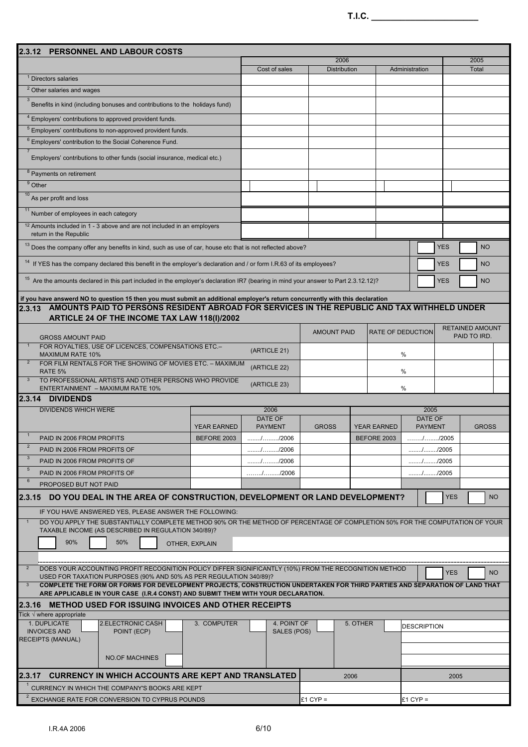| 2005<br>2006<br><b>Distribution</b><br>Total<br>Cost of sales<br>Administration<br><sup>1</sup> Directors salaries<br><sup>2</sup> Other salaries and wages<br>$\mathbf{3}$<br>Benefits in kind (including bonuses and contributions to the holidays fund)<br><sup>4</sup> Employers' contributions to approved provident funds.<br><sup>5</sup> Employers' contributions to non-approved provident funds.<br><sup>6</sup> Employers' contribution to the Social Coherence Fund.<br>Employers' contributions to other funds (social insurance, medical etc.)<br><sup>8</sup> Payments on retirement<br>$9$ Other<br>$\frac{10}{10}$ As per profit and loss<br>Number of employees in each category<br><sup>12</sup> Amounts included in 1 - 3 above and are not included in an employers<br>return in the Republic<br><sup>13</sup> Does the company offer any benefits in kind, such as use of car, house etc that is not reflected above?<br><b>YES</b><br><b>NO</b><br><sup>14</sup> If YES has the company declared this benefit in the employer's declaration and / or form I.R.63 of its employees?<br>YES<br><b>NO</b><br><sup>15</sup> Are the amounts declared in this part included in the employer's declaration IR7 (bearing in mind your answer to Part 2.3.12.12)?<br><b>YES</b><br><b>NO</b><br>if you have answerd NO to question 15 then you must submit an additional employer's return concurrently with this declaration<br>2.3.13 AMOUNTS PAID TO PERSONS RESIDENT ABROAD FOR SERVICES IN THE REPUBLIC AND TAX WITHHELD UNDER<br>ARTICLE 24 OF THE INCOME TAX LAW 118(I)/2002<br><b>RETAINED AMOUNT</b><br>RATE OF DEDUCTION<br><b>AMOUNT PAID</b><br>PAID TO IRD.<br><b>GROSS AMOUNT PAID</b><br>FOR ROYALTIES, USE OF LICENCES, COMPENSATIONS ETC.-<br>(ARTICLE 21)<br><b>MAXIMUM RATE 10%</b><br>%<br>$\overline{2}$<br>FOR FILM RENTALS FOR THE SHOWING OF MOVIES ETC. - MAXIMUM<br>(ARTICLE 22)<br>%<br>RATE 5%<br>TO PROFESSIONAL ARTISTS AND OTHER PERSONS WHO PROVIDE<br>(ARTICLE 23)<br>%<br>ENTERTAINMENT - MAXIMUM RATE 10%<br>2.3.14 DIVIDENDS<br><b>DIVIDENDS WHICH WERE</b><br>2006<br>2005<br>DATE OF<br>DATE OF<br><b>GROSS</b><br><b>GROSS</b><br><b>YEAR EARNED</b><br><b>PAYMENT</b><br><b>YEAR EARNED</b><br><b>PAYMENT</b><br>PAID IN 2006 FROM PROFITS<br>BEFORE 2003<br>BEFORE 2003<br>$\overline{2}$<br>PAID IN 2006 FROM PROFITS OF<br>1.1.1.1.1.1.1.1.1.006<br>$\ldots \ldots \ldots \ldots \ldots \ldots \ldots \ldots$ /2005<br>$\mathbf{3}$<br>PAID IN 2006 FROM PROFITS OF<br>$\ldots \ldots \ldots \ldots \ldots \ldots \ldots \ldots$ /2006<br>//2005<br>$5\phantom{.0}$<br>PAID IN 2006 FROM PROFITS OF<br>//2006<br>//2005<br>6<br>PROPOSED BUT NOT PAID<br>DO YOU DEAL IN THE AREA OF CONSTRUCTION, DEVELOPMENT OR LAND DEVELOPMENT?<br>12.3.15<br><b>YES</b><br><b>NO</b><br>IF YOU HAVE ANSWERED YES, PLEASE ANSWER THE FOLLOWING:<br>DO YOU APPLY THE SUBSTANTIALLY COMPLETE METHOD 90% OR THE METHOD OF PERCENTAGE OF COMPLETION 50% FOR THE COMPUTATION OF YOUR<br>TAXABLE INCOME (AS DESCRIBED IN REGULATION 340/89)?<br>90%<br>50%<br>OTHER, EXPLAIN<br>DOES YOUR ACCOUNTING PROFIT RECOGNITION POLICY DIFFER SIGNIFICANTLY (10%) FROM THE RECOGNITION METHOD<br><b>YES</b><br>NO.<br>USED FOR TAXATION PURPOSES (90% AND 50% AS PER REGULATION 340/89)?<br>COMPLETE THE FORM OR FORMS FOR DEVELOPMENT PROJECTS, CONSTRUCTION UNDERTAKEN FOR THIRD PARTIES AND SEPARATION OF LAND THAT<br>ARE APPLICABLE IN YOUR CASE (I.R.4 CONST) AND SUBMIT THEM WITH YOUR DECLARATION.<br>2.3.16 METHOD USED FOR ISSUING INVOICES AND OTHER RECEIPTS<br>Tick $\sqrt{}$ where appropriate<br>2.ELECTRONIC CASH<br>3. COMPUTER<br>5. OTHER<br>1. DUPLICATE<br>4. POINT OF<br><b>DESCRIPTION</b><br><b>INVOICES AND</b><br>POINT (ECP)<br>SALES (POS)<br><b>RECEIPTS (MANUAL)</b><br><b>NO.OF MACHINES</b><br><b>CURRENCY IN WHICH ACCOUNTS ARE KEPT AND TRANSLATED</b><br>2006<br>2005<br>CURRENCY IN WHICH THE COMPANY'S BOOKS ARE KEPT | PERSONNEL AND LABOUR COSTS<br>2.3.12          |  |            |            |  |
|-------------------------------------------------------------------------------------------------------------------------------------------------------------------------------------------------------------------------------------------------------------------------------------------------------------------------------------------------------------------------------------------------------------------------------------------------------------------------------------------------------------------------------------------------------------------------------------------------------------------------------------------------------------------------------------------------------------------------------------------------------------------------------------------------------------------------------------------------------------------------------------------------------------------------------------------------------------------------------------------------------------------------------------------------------------------------------------------------------------------------------------------------------------------------------------------------------------------------------------------------------------------------------------------------------------------------------------------------------------------------------------------------------------------------------------------------------------------------------------------------------------------------------------------------------------------------------------------------------------------------------------------------------------------------------------------------------------------------------------------------------------------------------------------------------------------------------------------------------------------------------------------------------------------------------------------------------------------------------------------------------------------------------------------------------------------------------------------------------------------------------------------------------------------------------------------------------------------------------------------------------------------------------------------------------------------------------------------------------------------------------------------------------------------------------------------------------------------------------------------------------------------------------------------------------------------------------------------------------------------------------------------------------------------------------------------------------------------------------------------------------------------------------------------------------------------------------------------------------------------------------------------------------------------------------------------------------------------------------------------------------------------------------------------------------------------------------------------------------------------------------------------------------------------------------------------------------------------------------------------------------------------------------------------------------------------------------------------------------------------------------------------------------------------------------------------------------------------------------------------------------------------------------------------------------------------------------------------------------------------------------------------------------------------------------------------------------------------------------------------------------------------------------------------------------------------------------------------------------------------------------------------------------------------------------------------------------------------------------------------|-----------------------------------------------|--|------------|------------|--|
|                                                                                                                                                                                                                                                                                                                                                                                                                                                                                                                                                                                                                                                                                                                                                                                                                                                                                                                                                                                                                                                                                                                                                                                                                                                                                                                                                                                                                                                                                                                                                                                                                                                                                                                                                                                                                                                                                                                                                                                                                                                                                                                                                                                                                                                                                                                                                                                                                                                                                                                                                                                                                                                                                                                                                                                                                                                                                                                                                                                                                                                                                                                                                                                                                                                                                                                                                                                                                                                                                                                                                                                                                                                                                                                                                                                                                                                                                                                                                                                           |                                               |  |            |            |  |
|                                                                                                                                                                                                                                                                                                                                                                                                                                                                                                                                                                                                                                                                                                                                                                                                                                                                                                                                                                                                                                                                                                                                                                                                                                                                                                                                                                                                                                                                                                                                                                                                                                                                                                                                                                                                                                                                                                                                                                                                                                                                                                                                                                                                                                                                                                                                                                                                                                                                                                                                                                                                                                                                                                                                                                                                                                                                                                                                                                                                                                                                                                                                                                                                                                                                                                                                                                                                                                                                                                                                                                                                                                                                                                                                                                                                                                                                                                                                                                                           |                                               |  |            |            |  |
|                                                                                                                                                                                                                                                                                                                                                                                                                                                                                                                                                                                                                                                                                                                                                                                                                                                                                                                                                                                                                                                                                                                                                                                                                                                                                                                                                                                                                                                                                                                                                                                                                                                                                                                                                                                                                                                                                                                                                                                                                                                                                                                                                                                                                                                                                                                                                                                                                                                                                                                                                                                                                                                                                                                                                                                                                                                                                                                                                                                                                                                                                                                                                                                                                                                                                                                                                                                                                                                                                                                                                                                                                                                                                                                                                                                                                                                                                                                                                                                           |                                               |  |            |            |  |
|                                                                                                                                                                                                                                                                                                                                                                                                                                                                                                                                                                                                                                                                                                                                                                                                                                                                                                                                                                                                                                                                                                                                                                                                                                                                                                                                                                                                                                                                                                                                                                                                                                                                                                                                                                                                                                                                                                                                                                                                                                                                                                                                                                                                                                                                                                                                                                                                                                                                                                                                                                                                                                                                                                                                                                                                                                                                                                                                                                                                                                                                                                                                                                                                                                                                                                                                                                                                                                                                                                                                                                                                                                                                                                                                                                                                                                                                                                                                                                                           |                                               |  |            |            |  |
|                                                                                                                                                                                                                                                                                                                                                                                                                                                                                                                                                                                                                                                                                                                                                                                                                                                                                                                                                                                                                                                                                                                                                                                                                                                                                                                                                                                                                                                                                                                                                                                                                                                                                                                                                                                                                                                                                                                                                                                                                                                                                                                                                                                                                                                                                                                                                                                                                                                                                                                                                                                                                                                                                                                                                                                                                                                                                                                                                                                                                                                                                                                                                                                                                                                                                                                                                                                                                                                                                                                                                                                                                                                                                                                                                                                                                                                                                                                                                                                           |                                               |  |            |            |  |
|                                                                                                                                                                                                                                                                                                                                                                                                                                                                                                                                                                                                                                                                                                                                                                                                                                                                                                                                                                                                                                                                                                                                                                                                                                                                                                                                                                                                                                                                                                                                                                                                                                                                                                                                                                                                                                                                                                                                                                                                                                                                                                                                                                                                                                                                                                                                                                                                                                                                                                                                                                                                                                                                                                                                                                                                                                                                                                                                                                                                                                                                                                                                                                                                                                                                                                                                                                                                                                                                                                                                                                                                                                                                                                                                                                                                                                                                                                                                                                                           |                                               |  |            |            |  |
|                                                                                                                                                                                                                                                                                                                                                                                                                                                                                                                                                                                                                                                                                                                                                                                                                                                                                                                                                                                                                                                                                                                                                                                                                                                                                                                                                                                                                                                                                                                                                                                                                                                                                                                                                                                                                                                                                                                                                                                                                                                                                                                                                                                                                                                                                                                                                                                                                                                                                                                                                                                                                                                                                                                                                                                                                                                                                                                                                                                                                                                                                                                                                                                                                                                                                                                                                                                                                                                                                                                                                                                                                                                                                                                                                                                                                                                                                                                                                                                           |                                               |  |            |            |  |
|                                                                                                                                                                                                                                                                                                                                                                                                                                                                                                                                                                                                                                                                                                                                                                                                                                                                                                                                                                                                                                                                                                                                                                                                                                                                                                                                                                                                                                                                                                                                                                                                                                                                                                                                                                                                                                                                                                                                                                                                                                                                                                                                                                                                                                                                                                                                                                                                                                                                                                                                                                                                                                                                                                                                                                                                                                                                                                                                                                                                                                                                                                                                                                                                                                                                                                                                                                                                                                                                                                                                                                                                                                                                                                                                                                                                                                                                                                                                                                                           |                                               |  |            |            |  |
|                                                                                                                                                                                                                                                                                                                                                                                                                                                                                                                                                                                                                                                                                                                                                                                                                                                                                                                                                                                                                                                                                                                                                                                                                                                                                                                                                                                                                                                                                                                                                                                                                                                                                                                                                                                                                                                                                                                                                                                                                                                                                                                                                                                                                                                                                                                                                                                                                                                                                                                                                                                                                                                                                                                                                                                                                                                                                                                                                                                                                                                                                                                                                                                                                                                                                                                                                                                                                                                                                                                                                                                                                                                                                                                                                                                                                                                                                                                                                                                           |                                               |  |            |            |  |
|                                                                                                                                                                                                                                                                                                                                                                                                                                                                                                                                                                                                                                                                                                                                                                                                                                                                                                                                                                                                                                                                                                                                                                                                                                                                                                                                                                                                                                                                                                                                                                                                                                                                                                                                                                                                                                                                                                                                                                                                                                                                                                                                                                                                                                                                                                                                                                                                                                                                                                                                                                                                                                                                                                                                                                                                                                                                                                                                                                                                                                                                                                                                                                                                                                                                                                                                                                                                                                                                                                                                                                                                                                                                                                                                                                                                                                                                                                                                                                                           |                                               |  |            |            |  |
|                                                                                                                                                                                                                                                                                                                                                                                                                                                                                                                                                                                                                                                                                                                                                                                                                                                                                                                                                                                                                                                                                                                                                                                                                                                                                                                                                                                                                                                                                                                                                                                                                                                                                                                                                                                                                                                                                                                                                                                                                                                                                                                                                                                                                                                                                                                                                                                                                                                                                                                                                                                                                                                                                                                                                                                                                                                                                                                                                                                                                                                                                                                                                                                                                                                                                                                                                                                                                                                                                                                                                                                                                                                                                                                                                                                                                                                                                                                                                                                           |                                               |  |            |            |  |
|                                                                                                                                                                                                                                                                                                                                                                                                                                                                                                                                                                                                                                                                                                                                                                                                                                                                                                                                                                                                                                                                                                                                                                                                                                                                                                                                                                                                                                                                                                                                                                                                                                                                                                                                                                                                                                                                                                                                                                                                                                                                                                                                                                                                                                                                                                                                                                                                                                                                                                                                                                                                                                                                                                                                                                                                                                                                                                                                                                                                                                                                                                                                                                                                                                                                                                                                                                                                                                                                                                                                                                                                                                                                                                                                                                                                                                                                                                                                                                                           |                                               |  |            |            |  |
|                                                                                                                                                                                                                                                                                                                                                                                                                                                                                                                                                                                                                                                                                                                                                                                                                                                                                                                                                                                                                                                                                                                                                                                                                                                                                                                                                                                                                                                                                                                                                                                                                                                                                                                                                                                                                                                                                                                                                                                                                                                                                                                                                                                                                                                                                                                                                                                                                                                                                                                                                                                                                                                                                                                                                                                                                                                                                                                                                                                                                                                                                                                                                                                                                                                                                                                                                                                                                                                                                                                                                                                                                                                                                                                                                                                                                                                                                                                                                                                           |                                               |  |            |            |  |
|                                                                                                                                                                                                                                                                                                                                                                                                                                                                                                                                                                                                                                                                                                                                                                                                                                                                                                                                                                                                                                                                                                                                                                                                                                                                                                                                                                                                                                                                                                                                                                                                                                                                                                                                                                                                                                                                                                                                                                                                                                                                                                                                                                                                                                                                                                                                                                                                                                                                                                                                                                                                                                                                                                                                                                                                                                                                                                                                                                                                                                                                                                                                                                                                                                                                                                                                                                                                                                                                                                                                                                                                                                                                                                                                                                                                                                                                                                                                                                                           |                                               |  |            |            |  |
|                                                                                                                                                                                                                                                                                                                                                                                                                                                                                                                                                                                                                                                                                                                                                                                                                                                                                                                                                                                                                                                                                                                                                                                                                                                                                                                                                                                                                                                                                                                                                                                                                                                                                                                                                                                                                                                                                                                                                                                                                                                                                                                                                                                                                                                                                                                                                                                                                                                                                                                                                                                                                                                                                                                                                                                                                                                                                                                                                                                                                                                                                                                                                                                                                                                                                                                                                                                                                                                                                                                                                                                                                                                                                                                                                                                                                                                                                                                                                                                           |                                               |  |            |            |  |
|                                                                                                                                                                                                                                                                                                                                                                                                                                                                                                                                                                                                                                                                                                                                                                                                                                                                                                                                                                                                                                                                                                                                                                                                                                                                                                                                                                                                                                                                                                                                                                                                                                                                                                                                                                                                                                                                                                                                                                                                                                                                                                                                                                                                                                                                                                                                                                                                                                                                                                                                                                                                                                                                                                                                                                                                                                                                                                                                                                                                                                                                                                                                                                                                                                                                                                                                                                                                                                                                                                                                                                                                                                                                                                                                                                                                                                                                                                                                                                                           |                                               |  |            |            |  |
|                                                                                                                                                                                                                                                                                                                                                                                                                                                                                                                                                                                                                                                                                                                                                                                                                                                                                                                                                                                                                                                                                                                                                                                                                                                                                                                                                                                                                                                                                                                                                                                                                                                                                                                                                                                                                                                                                                                                                                                                                                                                                                                                                                                                                                                                                                                                                                                                                                                                                                                                                                                                                                                                                                                                                                                                                                                                                                                                                                                                                                                                                                                                                                                                                                                                                                                                                                                                                                                                                                                                                                                                                                                                                                                                                                                                                                                                                                                                                                                           |                                               |  |            |            |  |
|                                                                                                                                                                                                                                                                                                                                                                                                                                                                                                                                                                                                                                                                                                                                                                                                                                                                                                                                                                                                                                                                                                                                                                                                                                                                                                                                                                                                                                                                                                                                                                                                                                                                                                                                                                                                                                                                                                                                                                                                                                                                                                                                                                                                                                                                                                                                                                                                                                                                                                                                                                                                                                                                                                                                                                                                                                                                                                                                                                                                                                                                                                                                                                                                                                                                                                                                                                                                                                                                                                                                                                                                                                                                                                                                                                                                                                                                                                                                                                                           |                                               |  |            |            |  |
|                                                                                                                                                                                                                                                                                                                                                                                                                                                                                                                                                                                                                                                                                                                                                                                                                                                                                                                                                                                                                                                                                                                                                                                                                                                                                                                                                                                                                                                                                                                                                                                                                                                                                                                                                                                                                                                                                                                                                                                                                                                                                                                                                                                                                                                                                                                                                                                                                                                                                                                                                                                                                                                                                                                                                                                                                                                                                                                                                                                                                                                                                                                                                                                                                                                                                                                                                                                                                                                                                                                                                                                                                                                                                                                                                                                                                                                                                                                                                                                           |                                               |  |            |            |  |
|                                                                                                                                                                                                                                                                                                                                                                                                                                                                                                                                                                                                                                                                                                                                                                                                                                                                                                                                                                                                                                                                                                                                                                                                                                                                                                                                                                                                                                                                                                                                                                                                                                                                                                                                                                                                                                                                                                                                                                                                                                                                                                                                                                                                                                                                                                                                                                                                                                                                                                                                                                                                                                                                                                                                                                                                                                                                                                                                                                                                                                                                                                                                                                                                                                                                                                                                                                                                                                                                                                                                                                                                                                                                                                                                                                                                                                                                                                                                                                                           |                                               |  |            |            |  |
|                                                                                                                                                                                                                                                                                                                                                                                                                                                                                                                                                                                                                                                                                                                                                                                                                                                                                                                                                                                                                                                                                                                                                                                                                                                                                                                                                                                                                                                                                                                                                                                                                                                                                                                                                                                                                                                                                                                                                                                                                                                                                                                                                                                                                                                                                                                                                                                                                                                                                                                                                                                                                                                                                                                                                                                                                                                                                                                                                                                                                                                                                                                                                                                                                                                                                                                                                                                                                                                                                                                                                                                                                                                                                                                                                                                                                                                                                                                                                                                           |                                               |  |            |            |  |
|                                                                                                                                                                                                                                                                                                                                                                                                                                                                                                                                                                                                                                                                                                                                                                                                                                                                                                                                                                                                                                                                                                                                                                                                                                                                                                                                                                                                                                                                                                                                                                                                                                                                                                                                                                                                                                                                                                                                                                                                                                                                                                                                                                                                                                                                                                                                                                                                                                                                                                                                                                                                                                                                                                                                                                                                                                                                                                                                                                                                                                                                                                                                                                                                                                                                                                                                                                                                                                                                                                                                                                                                                                                                                                                                                                                                                                                                                                                                                                                           |                                               |  |            |            |  |
|                                                                                                                                                                                                                                                                                                                                                                                                                                                                                                                                                                                                                                                                                                                                                                                                                                                                                                                                                                                                                                                                                                                                                                                                                                                                                                                                                                                                                                                                                                                                                                                                                                                                                                                                                                                                                                                                                                                                                                                                                                                                                                                                                                                                                                                                                                                                                                                                                                                                                                                                                                                                                                                                                                                                                                                                                                                                                                                                                                                                                                                                                                                                                                                                                                                                                                                                                                                                                                                                                                                                                                                                                                                                                                                                                                                                                                                                                                                                                                                           |                                               |  |            |            |  |
|                                                                                                                                                                                                                                                                                                                                                                                                                                                                                                                                                                                                                                                                                                                                                                                                                                                                                                                                                                                                                                                                                                                                                                                                                                                                                                                                                                                                                                                                                                                                                                                                                                                                                                                                                                                                                                                                                                                                                                                                                                                                                                                                                                                                                                                                                                                                                                                                                                                                                                                                                                                                                                                                                                                                                                                                                                                                                                                                                                                                                                                                                                                                                                                                                                                                                                                                                                                                                                                                                                                                                                                                                                                                                                                                                                                                                                                                                                                                                                                           |                                               |  |            |            |  |
|                                                                                                                                                                                                                                                                                                                                                                                                                                                                                                                                                                                                                                                                                                                                                                                                                                                                                                                                                                                                                                                                                                                                                                                                                                                                                                                                                                                                                                                                                                                                                                                                                                                                                                                                                                                                                                                                                                                                                                                                                                                                                                                                                                                                                                                                                                                                                                                                                                                                                                                                                                                                                                                                                                                                                                                                                                                                                                                                                                                                                                                                                                                                                                                                                                                                                                                                                                                                                                                                                                                                                                                                                                                                                                                                                                                                                                                                                                                                                                                           |                                               |  |            |            |  |
|                                                                                                                                                                                                                                                                                                                                                                                                                                                                                                                                                                                                                                                                                                                                                                                                                                                                                                                                                                                                                                                                                                                                                                                                                                                                                                                                                                                                                                                                                                                                                                                                                                                                                                                                                                                                                                                                                                                                                                                                                                                                                                                                                                                                                                                                                                                                                                                                                                                                                                                                                                                                                                                                                                                                                                                                                                                                                                                                                                                                                                                                                                                                                                                                                                                                                                                                                                                                                                                                                                                                                                                                                                                                                                                                                                                                                                                                                                                                                                                           |                                               |  |            |            |  |
|                                                                                                                                                                                                                                                                                                                                                                                                                                                                                                                                                                                                                                                                                                                                                                                                                                                                                                                                                                                                                                                                                                                                                                                                                                                                                                                                                                                                                                                                                                                                                                                                                                                                                                                                                                                                                                                                                                                                                                                                                                                                                                                                                                                                                                                                                                                                                                                                                                                                                                                                                                                                                                                                                                                                                                                                                                                                                                                                                                                                                                                                                                                                                                                                                                                                                                                                                                                                                                                                                                                                                                                                                                                                                                                                                                                                                                                                                                                                                                                           |                                               |  |            |            |  |
|                                                                                                                                                                                                                                                                                                                                                                                                                                                                                                                                                                                                                                                                                                                                                                                                                                                                                                                                                                                                                                                                                                                                                                                                                                                                                                                                                                                                                                                                                                                                                                                                                                                                                                                                                                                                                                                                                                                                                                                                                                                                                                                                                                                                                                                                                                                                                                                                                                                                                                                                                                                                                                                                                                                                                                                                                                                                                                                                                                                                                                                                                                                                                                                                                                                                                                                                                                                                                                                                                                                                                                                                                                                                                                                                                                                                                                                                                                                                                                                           |                                               |  |            |            |  |
|                                                                                                                                                                                                                                                                                                                                                                                                                                                                                                                                                                                                                                                                                                                                                                                                                                                                                                                                                                                                                                                                                                                                                                                                                                                                                                                                                                                                                                                                                                                                                                                                                                                                                                                                                                                                                                                                                                                                                                                                                                                                                                                                                                                                                                                                                                                                                                                                                                                                                                                                                                                                                                                                                                                                                                                                                                                                                                                                                                                                                                                                                                                                                                                                                                                                                                                                                                                                                                                                                                                                                                                                                                                                                                                                                                                                                                                                                                                                                                                           |                                               |  |            |            |  |
|                                                                                                                                                                                                                                                                                                                                                                                                                                                                                                                                                                                                                                                                                                                                                                                                                                                                                                                                                                                                                                                                                                                                                                                                                                                                                                                                                                                                                                                                                                                                                                                                                                                                                                                                                                                                                                                                                                                                                                                                                                                                                                                                                                                                                                                                                                                                                                                                                                                                                                                                                                                                                                                                                                                                                                                                                                                                                                                                                                                                                                                                                                                                                                                                                                                                                                                                                                                                                                                                                                                                                                                                                                                                                                                                                                                                                                                                                                                                                                                           |                                               |  |            |            |  |
|                                                                                                                                                                                                                                                                                                                                                                                                                                                                                                                                                                                                                                                                                                                                                                                                                                                                                                                                                                                                                                                                                                                                                                                                                                                                                                                                                                                                                                                                                                                                                                                                                                                                                                                                                                                                                                                                                                                                                                                                                                                                                                                                                                                                                                                                                                                                                                                                                                                                                                                                                                                                                                                                                                                                                                                                                                                                                                                                                                                                                                                                                                                                                                                                                                                                                                                                                                                                                                                                                                                                                                                                                                                                                                                                                                                                                                                                                                                                                                                           |                                               |  |            |            |  |
|                                                                                                                                                                                                                                                                                                                                                                                                                                                                                                                                                                                                                                                                                                                                                                                                                                                                                                                                                                                                                                                                                                                                                                                                                                                                                                                                                                                                                                                                                                                                                                                                                                                                                                                                                                                                                                                                                                                                                                                                                                                                                                                                                                                                                                                                                                                                                                                                                                                                                                                                                                                                                                                                                                                                                                                                                                                                                                                                                                                                                                                                                                                                                                                                                                                                                                                                                                                                                                                                                                                                                                                                                                                                                                                                                                                                                                                                                                                                                                                           |                                               |  |            |            |  |
|                                                                                                                                                                                                                                                                                                                                                                                                                                                                                                                                                                                                                                                                                                                                                                                                                                                                                                                                                                                                                                                                                                                                                                                                                                                                                                                                                                                                                                                                                                                                                                                                                                                                                                                                                                                                                                                                                                                                                                                                                                                                                                                                                                                                                                                                                                                                                                                                                                                                                                                                                                                                                                                                                                                                                                                                                                                                                                                                                                                                                                                                                                                                                                                                                                                                                                                                                                                                                                                                                                                                                                                                                                                                                                                                                                                                                                                                                                                                                                                           |                                               |  |            |            |  |
|                                                                                                                                                                                                                                                                                                                                                                                                                                                                                                                                                                                                                                                                                                                                                                                                                                                                                                                                                                                                                                                                                                                                                                                                                                                                                                                                                                                                                                                                                                                                                                                                                                                                                                                                                                                                                                                                                                                                                                                                                                                                                                                                                                                                                                                                                                                                                                                                                                                                                                                                                                                                                                                                                                                                                                                                                                                                                                                                                                                                                                                                                                                                                                                                                                                                                                                                                                                                                                                                                                                                                                                                                                                                                                                                                                                                                                                                                                                                                                                           |                                               |  |            |            |  |
|                                                                                                                                                                                                                                                                                                                                                                                                                                                                                                                                                                                                                                                                                                                                                                                                                                                                                                                                                                                                                                                                                                                                                                                                                                                                                                                                                                                                                                                                                                                                                                                                                                                                                                                                                                                                                                                                                                                                                                                                                                                                                                                                                                                                                                                                                                                                                                                                                                                                                                                                                                                                                                                                                                                                                                                                                                                                                                                                                                                                                                                                                                                                                                                                                                                                                                                                                                                                                                                                                                                                                                                                                                                                                                                                                                                                                                                                                                                                                                                           |                                               |  |            |            |  |
|                                                                                                                                                                                                                                                                                                                                                                                                                                                                                                                                                                                                                                                                                                                                                                                                                                                                                                                                                                                                                                                                                                                                                                                                                                                                                                                                                                                                                                                                                                                                                                                                                                                                                                                                                                                                                                                                                                                                                                                                                                                                                                                                                                                                                                                                                                                                                                                                                                                                                                                                                                                                                                                                                                                                                                                                                                                                                                                                                                                                                                                                                                                                                                                                                                                                                                                                                                                                                                                                                                                                                                                                                                                                                                                                                                                                                                                                                                                                                                                           |                                               |  |            |            |  |
|                                                                                                                                                                                                                                                                                                                                                                                                                                                                                                                                                                                                                                                                                                                                                                                                                                                                                                                                                                                                                                                                                                                                                                                                                                                                                                                                                                                                                                                                                                                                                                                                                                                                                                                                                                                                                                                                                                                                                                                                                                                                                                                                                                                                                                                                                                                                                                                                                                                                                                                                                                                                                                                                                                                                                                                                                                                                                                                                                                                                                                                                                                                                                                                                                                                                                                                                                                                                                                                                                                                                                                                                                                                                                                                                                                                                                                                                                                                                                                                           |                                               |  |            |            |  |
|                                                                                                                                                                                                                                                                                                                                                                                                                                                                                                                                                                                                                                                                                                                                                                                                                                                                                                                                                                                                                                                                                                                                                                                                                                                                                                                                                                                                                                                                                                                                                                                                                                                                                                                                                                                                                                                                                                                                                                                                                                                                                                                                                                                                                                                                                                                                                                                                                                                                                                                                                                                                                                                                                                                                                                                                                                                                                                                                                                                                                                                                                                                                                                                                                                                                                                                                                                                                                                                                                                                                                                                                                                                                                                                                                                                                                                                                                                                                                                                           |                                               |  |            |            |  |
|                                                                                                                                                                                                                                                                                                                                                                                                                                                                                                                                                                                                                                                                                                                                                                                                                                                                                                                                                                                                                                                                                                                                                                                                                                                                                                                                                                                                                                                                                                                                                                                                                                                                                                                                                                                                                                                                                                                                                                                                                                                                                                                                                                                                                                                                                                                                                                                                                                                                                                                                                                                                                                                                                                                                                                                                                                                                                                                                                                                                                                                                                                                                                                                                                                                                                                                                                                                                                                                                                                                                                                                                                                                                                                                                                                                                                                                                                                                                                                                           |                                               |  |            |            |  |
|                                                                                                                                                                                                                                                                                                                                                                                                                                                                                                                                                                                                                                                                                                                                                                                                                                                                                                                                                                                                                                                                                                                                                                                                                                                                                                                                                                                                                                                                                                                                                                                                                                                                                                                                                                                                                                                                                                                                                                                                                                                                                                                                                                                                                                                                                                                                                                                                                                                                                                                                                                                                                                                                                                                                                                                                                                                                                                                                                                                                                                                                                                                                                                                                                                                                                                                                                                                                                                                                                                                                                                                                                                                                                                                                                                                                                                                                                                                                                                                           |                                               |  |            |            |  |
|                                                                                                                                                                                                                                                                                                                                                                                                                                                                                                                                                                                                                                                                                                                                                                                                                                                                                                                                                                                                                                                                                                                                                                                                                                                                                                                                                                                                                                                                                                                                                                                                                                                                                                                                                                                                                                                                                                                                                                                                                                                                                                                                                                                                                                                                                                                                                                                                                                                                                                                                                                                                                                                                                                                                                                                                                                                                                                                                                                                                                                                                                                                                                                                                                                                                                                                                                                                                                                                                                                                                                                                                                                                                                                                                                                                                                                                                                                                                                                                           |                                               |  |            |            |  |
|                                                                                                                                                                                                                                                                                                                                                                                                                                                                                                                                                                                                                                                                                                                                                                                                                                                                                                                                                                                                                                                                                                                                                                                                                                                                                                                                                                                                                                                                                                                                                                                                                                                                                                                                                                                                                                                                                                                                                                                                                                                                                                                                                                                                                                                                                                                                                                                                                                                                                                                                                                                                                                                                                                                                                                                                                                                                                                                                                                                                                                                                                                                                                                                                                                                                                                                                                                                                                                                                                                                                                                                                                                                                                                                                                                                                                                                                                                                                                                                           |                                               |  |            |            |  |
|                                                                                                                                                                                                                                                                                                                                                                                                                                                                                                                                                                                                                                                                                                                                                                                                                                                                                                                                                                                                                                                                                                                                                                                                                                                                                                                                                                                                                                                                                                                                                                                                                                                                                                                                                                                                                                                                                                                                                                                                                                                                                                                                                                                                                                                                                                                                                                                                                                                                                                                                                                                                                                                                                                                                                                                                                                                                                                                                                                                                                                                                                                                                                                                                                                                                                                                                                                                                                                                                                                                                                                                                                                                                                                                                                                                                                                                                                                                                                                                           |                                               |  |            |            |  |
|                                                                                                                                                                                                                                                                                                                                                                                                                                                                                                                                                                                                                                                                                                                                                                                                                                                                                                                                                                                                                                                                                                                                                                                                                                                                                                                                                                                                                                                                                                                                                                                                                                                                                                                                                                                                                                                                                                                                                                                                                                                                                                                                                                                                                                                                                                                                                                                                                                                                                                                                                                                                                                                                                                                                                                                                                                                                                                                                                                                                                                                                                                                                                                                                                                                                                                                                                                                                                                                                                                                                                                                                                                                                                                                                                                                                                                                                                                                                                                                           |                                               |  |            |            |  |
|                                                                                                                                                                                                                                                                                                                                                                                                                                                                                                                                                                                                                                                                                                                                                                                                                                                                                                                                                                                                                                                                                                                                                                                                                                                                                                                                                                                                                                                                                                                                                                                                                                                                                                                                                                                                                                                                                                                                                                                                                                                                                                                                                                                                                                                                                                                                                                                                                                                                                                                                                                                                                                                                                                                                                                                                                                                                                                                                                                                                                                                                                                                                                                                                                                                                                                                                                                                                                                                                                                                                                                                                                                                                                                                                                                                                                                                                                                                                                                                           |                                               |  |            |            |  |
|                                                                                                                                                                                                                                                                                                                                                                                                                                                                                                                                                                                                                                                                                                                                                                                                                                                                                                                                                                                                                                                                                                                                                                                                                                                                                                                                                                                                                                                                                                                                                                                                                                                                                                                                                                                                                                                                                                                                                                                                                                                                                                                                                                                                                                                                                                                                                                                                                                                                                                                                                                                                                                                                                                                                                                                                                                                                                                                                                                                                                                                                                                                                                                                                                                                                                                                                                                                                                                                                                                                                                                                                                                                                                                                                                                                                                                                                                                                                                                                           |                                               |  |            |            |  |
|                                                                                                                                                                                                                                                                                                                                                                                                                                                                                                                                                                                                                                                                                                                                                                                                                                                                                                                                                                                                                                                                                                                                                                                                                                                                                                                                                                                                                                                                                                                                                                                                                                                                                                                                                                                                                                                                                                                                                                                                                                                                                                                                                                                                                                                                                                                                                                                                                                                                                                                                                                                                                                                                                                                                                                                                                                                                                                                                                                                                                                                                                                                                                                                                                                                                                                                                                                                                                                                                                                                                                                                                                                                                                                                                                                                                                                                                                                                                                                                           |                                               |  |            |            |  |
|                                                                                                                                                                                                                                                                                                                                                                                                                                                                                                                                                                                                                                                                                                                                                                                                                                                                                                                                                                                                                                                                                                                                                                                                                                                                                                                                                                                                                                                                                                                                                                                                                                                                                                                                                                                                                                                                                                                                                                                                                                                                                                                                                                                                                                                                                                                                                                                                                                                                                                                                                                                                                                                                                                                                                                                                                                                                                                                                                                                                                                                                                                                                                                                                                                                                                                                                                                                                                                                                                                                                                                                                                                                                                                                                                                                                                                                                                                                                                                                           |                                               |  |            |            |  |
|                                                                                                                                                                                                                                                                                                                                                                                                                                                                                                                                                                                                                                                                                                                                                                                                                                                                                                                                                                                                                                                                                                                                                                                                                                                                                                                                                                                                                                                                                                                                                                                                                                                                                                                                                                                                                                                                                                                                                                                                                                                                                                                                                                                                                                                                                                                                                                                                                                                                                                                                                                                                                                                                                                                                                                                                                                                                                                                                                                                                                                                                                                                                                                                                                                                                                                                                                                                                                                                                                                                                                                                                                                                                                                                                                                                                                                                                                                                                                                                           |                                               |  |            |            |  |
|                                                                                                                                                                                                                                                                                                                                                                                                                                                                                                                                                                                                                                                                                                                                                                                                                                                                                                                                                                                                                                                                                                                                                                                                                                                                                                                                                                                                                                                                                                                                                                                                                                                                                                                                                                                                                                                                                                                                                                                                                                                                                                                                                                                                                                                                                                                                                                                                                                                                                                                                                                                                                                                                                                                                                                                                                                                                                                                                                                                                                                                                                                                                                                                                                                                                                                                                                                                                                                                                                                                                                                                                                                                                                                                                                                                                                                                                                                                                                                                           | 12.3.17                                       |  |            |            |  |
|                                                                                                                                                                                                                                                                                                                                                                                                                                                                                                                                                                                                                                                                                                                                                                                                                                                                                                                                                                                                                                                                                                                                                                                                                                                                                                                                                                                                                                                                                                                                                                                                                                                                                                                                                                                                                                                                                                                                                                                                                                                                                                                                                                                                                                                                                                                                                                                                                                                                                                                                                                                                                                                                                                                                                                                                                                                                                                                                                                                                                                                                                                                                                                                                                                                                                                                                                                                                                                                                                                                                                                                                                                                                                                                                                                                                                                                                                                                                                                                           |                                               |  |            |            |  |
|                                                                                                                                                                                                                                                                                                                                                                                                                                                                                                                                                                                                                                                                                                                                                                                                                                                                                                                                                                                                                                                                                                                                                                                                                                                                                                                                                                                                                                                                                                                                                                                                                                                                                                                                                                                                                                                                                                                                                                                                                                                                                                                                                                                                                                                                                                                                                                                                                                                                                                                                                                                                                                                                                                                                                                                                                                                                                                                                                                                                                                                                                                                                                                                                                                                                                                                                                                                                                                                                                                                                                                                                                                                                                                                                                                                                                                                                                                                                                                                           | EXCHANGE RATE FOR CONVERSION TO CYPRUS POUNDS |  | $£1$ CYP = | $£1$ CYP = |  |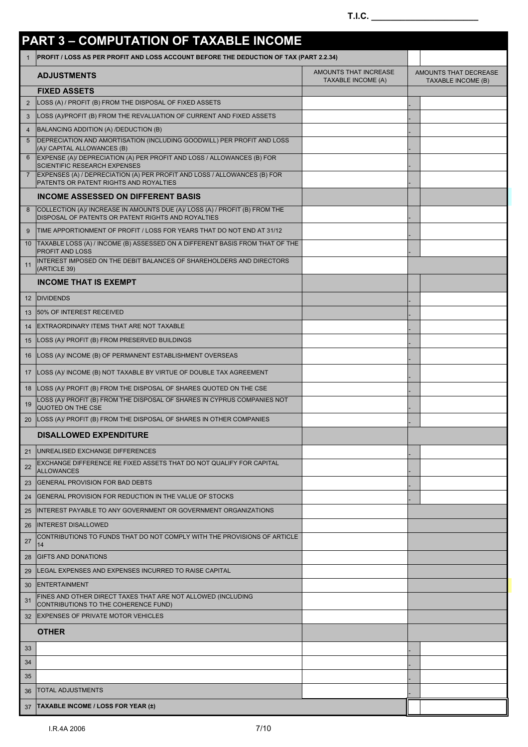|                | <b>PART 3 - COMPUTATION OF TAXABLE INCOME</b>                                                                                     |                                                    |                                                    |
|----------------|-----------------------------------------------------------------------------------------------------------------------------------|----------------------------------------------------|----------------------------------------------------|
| $\mathbf{1}$   | PROFIT / LOSS AS PER PROFIT AND LOSS ACCOUNT BEFORE THE DEDUCTION OF TAX (PART 2.2.34)                                            |                                                    |                                                    |
|                | <b>ADJUSTMENTS</b>                                                                                                                | AMOUNTS THAT INCREASE<br><b>TAXABLE INCOME (A)</b> | AMOUNTS THAT DECREASE<br><b>TAXABLE INCOME (B)</b> |
|                | <b>FIXED ASSETS</b>                                                                                                               |                                                    |                                                    |
| 2              | LOSS (A) / PROFIT (B) FROM THE DISPOSAL OF FIXED ASSETS                                                                           |                                                    |                                                    |
| 3              | LOSS (A)/PROFIT (B) FROM THE REVALUATION OF CURRENT AND FIXED ASSETS                                                              |                                                    |                                                    |
| $\overline{4}$ | BALANCING ADDITION (A) /DEDUCTION (B)                                                                                             |                                                    |                                                    |
| 5              | DEPRECIATION AND AMORTISATION (INCLUDING GOODWILL) PER PROFIT AND LOSS<br>(A)/ CAPITAL ALLOWANCES (B)                             |                                                    |                                                    |
| 6              | EXPENSE (A)/ DEPRECIATION (A) PER PROFIT AND LOSS / ALLOWANCES (B) FOR<br><b>SCIENTIFIC RESEARCH EXPENSES</b>                     |                                                    |                                                    |
|                | EXPENSES (A) / DEPRECIATION (A) PER PROFIT AND LOSS / ALLOWANCES (B) FOR<br>PATENTS OR PATENT RIGHTS AND ROYALTIES                |                                                    |                                                    |
|                | <b>INCOME ASSESSED ON DIFFERENT BASIS</b>                                                                                         |                                                    |                                                    |
|                | COLLECTION (A)/ INCREASE IN AMOUNTS DUE (A)/ LOSS (A) / PROFIT (B) FROM THE<br>DISPOSAL OF PATENTS OR PATENT RIGHTS AND ROYALTIES |                                                    |                                                    |
| 9              | TIME APPORTIONMENT OF PROFIT / LOSS FOR YEARS THAT DO NOT END AT 31/12                                                            |                                                    |                                                    |
| 10             | TAXABLE LOSS (A) / INCOME (B) ASSESSED ON A DIFFERENT BASIS FROM THAT OF THE<br>PROFIT AND LOSS                                   |                                                    |                                                    |
| 11             | INTEREST IMPOSED ON THE DEBIT BALANCES OF SHAREHOLDERS AND DIRECTORS<br>(ARTICLE 39)                                              |                                                    |                                                    |
|                | <b>INCOME THAT IS EXEMPT</b>                                                                                                      |                                                    |                                                    |
| 12             | <b>DIVIDENDS</b>                                                                                                                  |                                                    |                                                    |
| 13             | 50% OF INTEREST RECEIVED                                                                                                          |                                                    |                                                    |
| 14             | EXTRAORDINARY ITEMS THAT ARE NOT TAXABLE                                                                                          |                                                    |                                                    |
| 15             | LOSS (A)/ PROFIT (B) FROM PRESERVED BUILDINGS                                                                                     |                                                    |                                                    |
| 16             | LOSS (A)/ INCOME (B) OF PERMANENT ESTABLISHMENT OVERSEAS                                                                          |                                                    |                                                    |
| 17             | LOSS (A)/ INCOME (B) NOT TAXABLE BY VIRTUE OF DOUBLE TAX AGREEMENT                                                                |                                                    |                                                    |
| 18             | LOSS (A)/ PROFIT (B) FROM THE DISPOSAL OF SHARES QUOTED ON THE CSE                                                                |                                                    |                                                    |
| 19             | LOSS (A)/ PROFIT (B) FROM THE DISPOSAL OF SHARES IN CYPRUS COMPANIES NOT<br>QUOTED ON THE CSE                                     |                                                    |                                                    |
| 20             | LOSS (A)/ PROFIT (B) FROM THE DISPOSAL OF SHARES IN OTHER COMPANIES                                                               |                                                    |                                                    |
|                | <b>DISALLOWED EXPENDITURE</b>                                                                                                     |                                                    |                                                    |
| 21             | UNREALISED EXCHANGE DIFFERENCES                                                                                                   |                                                    |                                                    |
| 22             | EXCHANGE DIFFERENCE RE FIXED ASSETS THAT DO NOT QUALIFY FOR CAPITAL<br><b>ALLOWANCES</b>                                          |                                                    |                                                    |
| 23             | <b>GENERAL PROVISION FOR BAD DEBTS</b>                                                                                            |                                                    |                                                    |
| 24             | GENERAL PROVISION FOR REDUCTION IN THE VALUE OF STOCKS                                                                            |                                                    |                                                    |
| 25             | INTEREST PAYABLE TO ANY GOVERNMENT OR GOVERNMENT ORGANIZATIONS                                                                    |                                                    |                                                    |
| 26             | <b>INTEREST DISALLOWED</b>                                                                                                        |                                                    |                                                    |
| 27             | CONTRIBUTIONS TO FUNDS THAT DO NOT COMPLY WITH THE PROVISIONS OF ARTICLE<br>14                                                    |                                                    |                                                    |
| 28             | <b>GIFTS AND DONATIONS</b>                                                                                                        |                                                    |                                                    |
| 29             | LEGAL EXPENSES AND EXPENSES INCURRED TO RAISE CAPITAL                                                                             |                                                    |                                                    |
| 30             | <b>ENTERTAINMENT</b>                                                                                                              |                                                    |                                                    |
| 31             | FINES AND OTHER DIRECT TAXES THAT ARE NOT ALLOWED (INCLUDING                                                                      |                                                    |                                                    |
| 32             | CONTRIBUTIONS TO THE COHERENCE FUND)<br>EXPENSES OF PRIVATE MOTOR VEHICLES                                                        |                                                    |                                                    |
|                | <b>OTHER</b>                                                                                                                      |                                                    |                                                    |
| 33             |                                                                                                                                   |                                                    |                                                    |
| 34             |                                                                                                                                   |                                                    |                                                    |
| 35             |                                                                                                                                   |                                                    |                                                    |
|                | <b>TOTAL ADJUSTMENTS</b>                                                                                                          |                                                    |                                                    |
| 36             |                                                                                                                                   |                                                    |                                                    |
| 37             | <b>TAXABLE INCOME / LOSS FOR YEAR (±)</b>                                                                                         |                                                    |                                                    |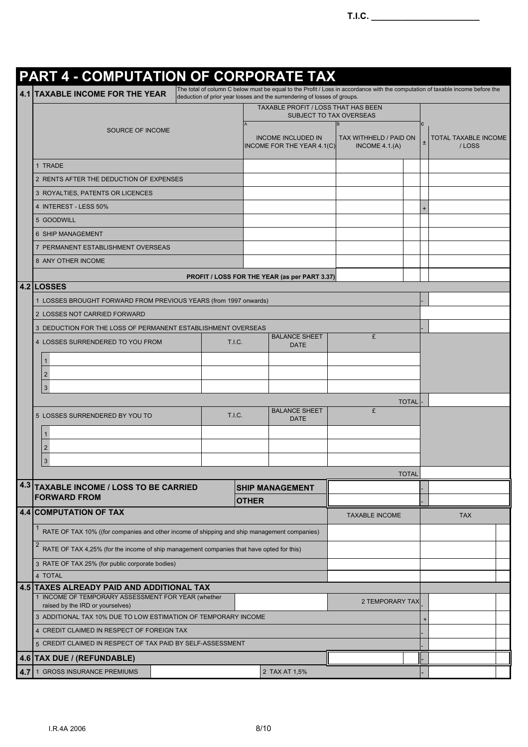# **PART 4 - COMPUTATION OF CORPORATE TAX**

**4.1** TAXABLE INCOME FOR THE YEAR  $\begin{vmatrix}$ The total of column C below must be equal to the Profit / Loss in accordance with the computation of taxable income before the  $\overline{\phantom{a}}$ 

|     |                                                                                                            |              | TAXABLE PROFIT / LOSS THAT HAS BEEN<br><b>SUBJECT TO TAX OVERSEAS</b> |                                           |              |   |                               |  |
|-----|------------------------------------------------------------------------------------------------------------|--------------|-----------------------------------------------------------------------|-------------------------------------------|--------------|---|-------------------------------|--|
|     | SOURCE OF INCOME                                                                                           |              | <b>INCOME INCLUDED IN</b><br>INCOME FOR THE YEAR 4.1(C)               | TAX WITHHELD / PAID ON<br>INCOME $4.1(A)$ |              | C | TOTAL TAXABLE INCOME<br>/LOSS |  |
|     | 1 TRADE                                                                                                    |              |                                                                       |                                           |              |   |                               |  |
|     | 2 RENTS AFTER THE DEDUCTION OF EXPENSES                                                                    |              |                                                                       |                                           |              |   |                               |  |
|     | 3 ROYALTIES, PATENTS OR LICENCES                                                                           |              |                                                                       |                                           |              |   |                               |  |
|     | 4 INTEREST - LESS 50%                                                                                      |              |                                                                       |                                           |              |   |                               |  |
|     | 5 GOODWILL                                                                                                 |              |                                                                       |                                           |              |   |                               |  |
|     | 6 SHIP MANAGEMENT                                                                                          |              |                                                                       |                                           |              |   |                               |  |
|     | 7 PERMANENT ESTABLISHMENT OVERSEAS                                                                         |              |                                                                       |                                           |              |   |                               |  |
|     | 8 ANY OTHER INCOME                                                                                         |              |                                                                       |                                           |              |   |                               |  |
|     |                                                                                                            |              | PROFIT / LOSS FOR THE YEAR (as per PART 3.37)                         |                                           |              |   |                               |  |
|     | 4.2 LOSSES                                                                                                 |              |                                                                       |                                           |              |   |                               |  |
|     | 1 LOSSES BROUGHT FORWARD FROM PREVIOUS YEARS (from 1997 onwards)                                           |              |                                                                       |                                           |              |   |                               |  |
|     | 2 LOSSES NOT CARRIED FORWARD                                                                               |              |                                                                       |                                           |              |   |                               |  |
|     | 3 DEDUCTION FOR THE LOSS OF PERMANENT ESTABLISHMENT OVERSEAS                                               |              |                                                                       |                                           |              |   |                               |  |
|     | T.I.C.<br>4 LOSSES SURRENDERED TO YOU FROM                                                                 |              | <b>BALANCE SHEET</b><br><b>DATE</b>                                   | £                                         |              |   |                               |  |
|     | 1                                                                                                          |              |                                                                       |                                           |              |   |                               |  |
|     | $\overline{2}$                                                                                             |              |                                                                       |                                           |              |   |                               |  |
|     | $\mathbf{3}$                                                                                               |              |                                                                       |                                           |              |   |                               |  |
|     |                                                                                                            |              |                                                                       |                                           | <b>TOTAL</b> |   |                               |  |
|     | <b>T.I.C.</b><br>5 LOSSES SURRENDERED BY YOU TO                                                            |              | <b>BALANCE SHEET</b>                                                  | £                                         |              |   |                               |  |
|     |                                                                                                            |              | <b>DATE</b>                                                           |                                           |              |   |                               |  |
|     | 1.                                                                                                         |              |                                                                       |                                           |              |   |                               |  |
|     | $\overline{2}$                                                                                             |              |                                                                       |                                           |              |   |                               |  |
|     | 3                                                                                                          |              |                                                                       |                                           |              |   |                               |  |
| 4.3 |                                                                                                            |              |                                                                       |                                           | <b>TOTAL</b> |   |                               |  |
|     | <b>TAXABLE INCOME / LOSS TO BE CARRIED</b><br><b>FORWARD FROM</b>                                          |              | <b>SHIP MANAGEMENT</b>                                                |                                           |              |   |                               |  |
|     | <b>4.4 COMPUTATION OF TAX</b>                                                                              | <b>OTHER</b> |                                                                       |                                           |              |   |                               |  |
|     |                                                                                                            |              |                                                                       | <b>TAXABLE INCOME</b>                     |              |   | <b>TAX</b>                    |  |
|     | RATE OF TAX 10% ((for companies and other income of shipping and ship management companies)                |              |                                                                       |                                           |              |   |                               |  |
|     | $\overline{2}$<br>RATE OF TAX 4,25% (for the income of ship management companies that have opted for this) |              |                                                                       |                                           |              |   |                               |  |
|     | 3 RATE OF TAX 25% (for public corporate bodies)                                                            |              |                                                                       |                                           |              |   |                               |  |
|     | 4 TOTAL                                                                                                    |              |                                                                       |                                           |              |   |                               |  |
|     | 4.5 TAXES ALREADY PAID AND ADDITIONAL TAX<br>1 INCOME OF TEMPORARY ASSESSMENT FOR YEAR (whether            |              |                                                                       |                                           |              |   |                               |  |
|     | raised by the IRD or yourselves)                                                                           |              |                                                                       | 2 TEMPORARY TAX                           |              |   |                               |  |
|     | 3 ADDITIONAL TAX 10% DUE TO LOW ESTIMATION OF TEMPORARY INCOME                                             |              |                                                                       |                                           |              |   |                               |  |
|     | 4 CREDIT CLAIMED IN RESPECT OF FOREIGN TAX                                                                 |              |                                                                       |                                           |              |   |                               |  |
|     | 5 CREDIT CLAIMED IN RESPECT OF TAX PAID BY SELF-ASSESSMENT                                                 |              |                                                                       |                                           |              |   |                               |  |
|     | 4.6 TAX DUE / (REFUNDABLE)                                                                                 |              |                                                                       |                                           |              |   |                               |  |
| 4.7 | 1 GROSS INSURANCE PREMIUMS                                                                                 |              | 2 TAX AT 1,5%                                                         |                                           |              |   |                               |  |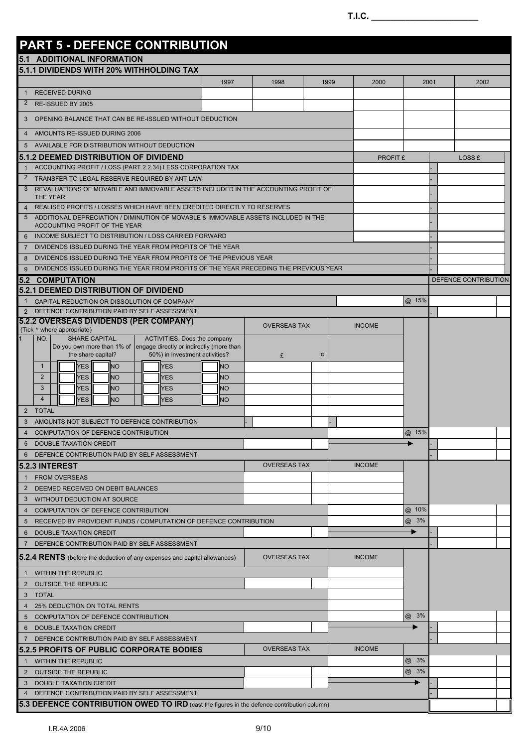## **PART 5 - DEFENCE CONTRIBUTION 5.1 ADDITIONAL INFORMATION 5.1.1 DIVIDENDS WITH 20% WITHHOLDING TAX** 1997 | 1998 | 1999 | 2000 | 2001 | 2002 1 RECEIVED DURING 2 RE-ISSUED BY 2005 3 OPENING BALANCE THAT CAN BE RE-ISSUED WITHOUT DEDUCTION 4 AMOUNTS RE-ISSUED DURING 2006 5 AVAILABLE FOR DISTRIBUTION WITHOUT DEDUCTION **5.1.2 DEEMED DISTRIBUTION OF DIVIDEND EXAMPLE 2006 AND REPORT AND REPORT \$** LOSS £ ACCOUNTING PROFIT / LOSS (PART 2.2.34) LESS CORPORATION TAX 2 TRANSFER TO LEGAL RESERVE REQUIRED BY ANT LAW 3 REVALUATIONS OF MOVABLE AND IMMOVABLE ASSETS INCLUDED IN THE ACCOUNTING PROFIT OF THE YEAR - 4 REALISED PROFITS / LOSSES WHICH HAVE BEEN CREDITED DIRECTLY TO RESERVES 5 ADDITIONAL DEPRECIATION / DIMINUTION OF MOVABLE & IMMOVABLE ASSETS INCLUDED IN THE ACCOUNTING PROFIT OF THE YEAR 6 INCOME SUBJECT TO DISTRIBUTION / LOSS CARRIED FORWARD 7 DIVIDENDS ISSUED DURING THE YEAR FROM PROFITS OF THE YEAR 8 DIVIDENDS ISSUED DURING THE YEAR FROM PROFITS OF THE PREVIOUS YEAR 9 DIVIDENDS ISSUED DURING THE YEAR FROM PROFITS OF THE YEAR PRECEDING THE PREVIOUS YEAR **5.2 COMPUTATION** DEFENCE CONTRIBUTION **5.2.1 DEEMED DISTRIBUTION OF DIVIDEND** 1 CAPITAL REDUCTION OR DISSOLUTION OF COMPANY **CAPITAL REDUCTION OF COMPANY @** 15% 2 DEFENCE CONTRIBUTION PAID BY SELF ASSESSMENT **5.2.2 OVERSEAS DIVIDENDS (PER COMPANY)** OVERSEAS TAX INCOME (Tick Y where appropriate) NO. SHARE CAPITAL. Do you own more than 1% of the share capital? ACTIVITIES. Does the company engage directly or indirectly (more than 50%) in investment activities? £ c 1 || YES || NO || YES || NO 2 **II YES NO II YES II NO** 3 NO YES NO NO YES NO 4 **II YES NO II YES II NO** 2 TOTAL 3 AMOUNTS NOT SUBJECT TO DEFENCE CONTRIBUTION 4 COMPUTATION OF DEFENCE CONTRIBUTION **WE CONTRIGUE A CONTRIBUTION @** 15% 5 DOUBLE TAXATION CREDIT 6 DEFENCE CONTRIBUTION PAID BY SELF ASSESSMENT **5.2.3 INTEREST** OVERSEAS TAX INCOME FROM OVERSEAS 2 DEEMED RECEIVED ON DEBIT BALANCES 3 WITHOUT DEDUCTION AT SOURCE 4 COMPUTATION OF DEFENCE CONTRIBUTION **WE CONTRIGUE A CONTRIBUTION @** 10% 5 RECEIVED BY PROVIDENT FUNDS / COMPUTATION OF DEFENCE CONTRIBUTION 6 DOUBLE TAXATION CREDIT AND RESERVE TO A RESERVE THE RESERVE TO A RESERVE THE RESERVE TO A RESERVE THE RESERVE TO A RESERVE THAT A RESERVE THAT A RESERVE THAT A RESERVE THAT A RESERVE THAT A RESERVE THAT A RESERVE THAT A 7 DEFENCE CONTRIBUTION PAID BY SELF ASSESSMENT **5.2.4 RENTS** (before the deduction of any expenses and capital allowances) OVERSEAS TAX INCOME 1 WITHIN THE REPUBLIC 2 OUTSIDE THE REPUBLIC 3 TOTAL 4 25% DEDUCTION ON TOTAL RENTS 5 COMPUTATION OF DEFENCE CONTRIBUTION **CONTRIBUTION COMPUTATION COMPUTATION COMPUTATION** 6 DOUBLE TAXATION CREDIT DEFENCE CONTRIBUTION PAID BY SELF ASSESSMENT **5.2.5 PROFITS OF PUBLIC CORPORATE BODIES** OVERSEAS TAX INCOME **1 WITHIN THE REPUBLIC CONTRACT CONTRACT CONTRACT CONTRACT CONTRACT CONTRACT CONTRACT CONTRACT CONTRACT CONTRACT CONTRACT CONTRACT CONTRACT CONTRACT CONTRACT CONTRACT CONTRACT CONTRACT CONTRACT CONTRACT CONTRACT CONTRACT C** 2 OUTSIDE THE REPUBLIC **And the Second Contract of the Contract of Contract Contract of Contract On Contract On Contract On Contract On Contract On Contract On Contract On Contract On Contract On Contract On Contract On Co** 3 DOUBLE TAXATION CREDIT 4 DEFENCE CONTRIBUTION PAID BY SELF ASSESSMENT **5.3 DEFENCE CONTRIBUTION OWED TO IRD** (cast the figures in the defence contribution column)